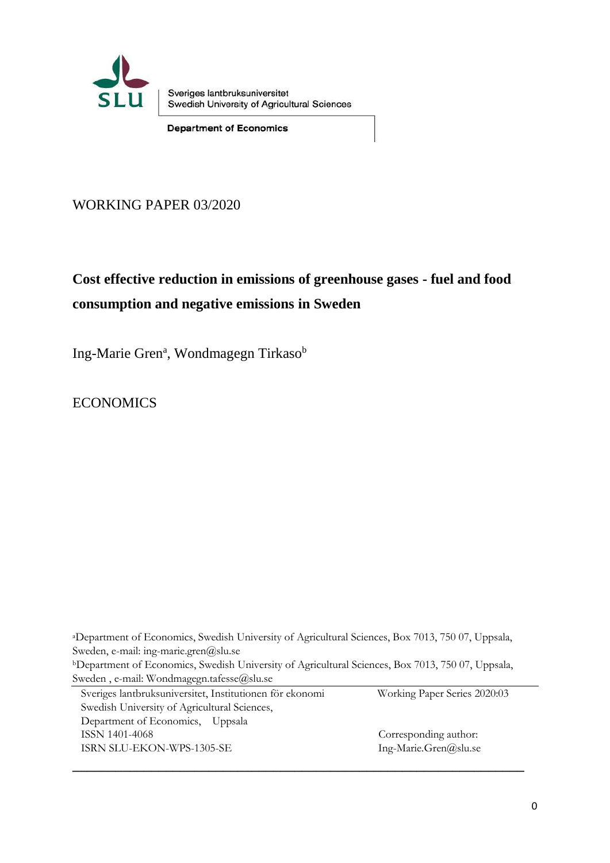

Sveriges lantbruksuniversitet Swedish University of Agricultural Sciences

**Department of Economics** 

WORKING PAPER 03/2020

# **Cost effective reduction in emissions of greenhouse gases - fuel and food consumption and negative emissions in Sweden**

Ing-Marie Gren<sup>a</sup>, Wondmagegn Tirkaso<sup>b</sup>

**ECONOMICS** 

<sup>a</sup>Department of Economics, Swedish University of Agricultural Sciences, Box 7013, 750 07, Uppsala, Sweden, e-mail: ing-marie.gren@slu.se <sup>b</sup>Department of Economics, Swedish University of Agricultural Sciences, Box 7013, 750 07, Uppsala, Sweden, e-mail: Wondmagegn.tafesse@slu.se

| Sveriges lantbruksuniversitet, Institutionen för ekonomi | Working Paper Series 2020:03 |
|----------------------------------------------------------|------------------------------|
| Swedish University of Agricultural Sciences,             |                              |
| Department of Economics, Uppsala                         |                              |
| ISSN 1401-4068                                           | Corresponding author:        |
| ISRN SLU-EKON-WPS-1305-SE                                | Ing-Marie.Gren@slu.se        |
|                                                          |                              |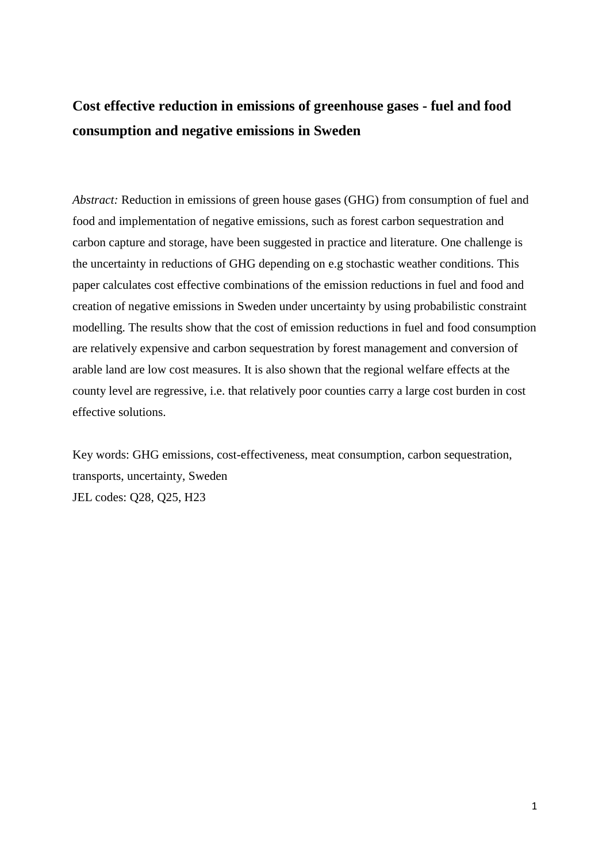# **Cost effective reduction in emissions of greenhouse gases - fuel and food consumption and negative emissions in Sweden**

*Abstract:* Reduction in emissions of green house gases (GHG) from consumption of fuel and food and implementation of negative emissions, such as forest carbon sequestration and carbon capture and storage, have been suggested in practice and literature. One challenge is the uncertainty in reductions of GHG depending on e.g stochastic weather conditions. This paper calculates cost effective combinations of the emission reductions in fuel and food and creation of negative emissions in Sweden under uncertainty by using probabilistic constraint modelling. The results show that the cost of emission reductions in fuel and food consumption are relatively expensive and carbon sequestration by forest management and conversion of arable land are low cost measures. It is also shown that the regional welfare effects at the county level are regressive, i.e. that relatively poor counties carry a large cost burden in cost effective solutions.

Key words: GHG emissions, cost-effectiveness, meat consumption, carbon sequestration, transports, uncertainty, Sweden JEL codes: Q28, Q25, H23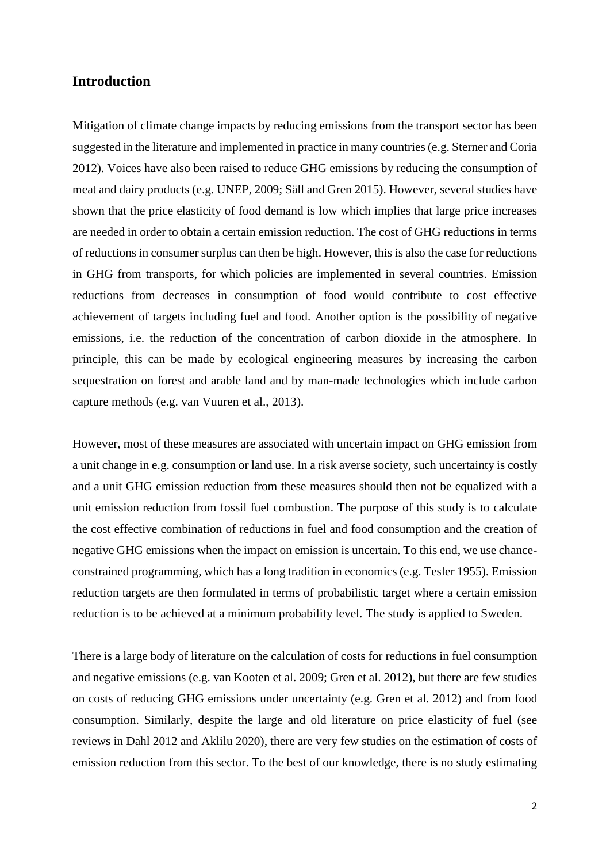## **Introduction**

Mitigation of climate change impacts by reducing emissions from the transport sector has been suggested in the literature and implemented in practice in many countries (e.g. Sterner and Coria 2012). Voices have also been raised to reduce GHG emissions by reducing the consumption of meat and dairy products (e.g. UNEP, 2009; Säll and Gren 2015). However, several studies have shown that the price elasticity of food demand is low which implies that large price increases are needed in order to obtain a certain emission reduction. The cost of GHG reductions in terms of reductions in consumer surplus can then be high. However, this is also the case for reductions in GHG from transports, for which policies are implemented in several countries. Emission reductions from decreases in consumption of food would contribute to cost effective achievement of targets including fuel and food. Another option is the possibility of negative emissions, i.e. the reduction of the concentration of carbon dioxide in the atmosphere. In principle, this can be made by ecological engineering measures by increasing the carbon sequestration on forest and arable land and by man-made technologies which include carbon capture methods (e.g. van Vuuren et al., 2013).

However, most of these measures are associated with uncertain impact on GHG emission from a unit change in e.g. consumption or land use. In a risk averse society, such uncertainty is costly and a unit GHG emission reduction from these measures should then not be equalized with a unit emission reduction from fossil fuel combustion. The purpose of this study is to calculate the cost effective combination of reductions in fuel and food consumption and the creation of negative GHG emissions when the impact on emission is uncertain. To this end, we use chanceconstrained programming, which has a long tradition in economics (e.g. Tesler 1955). Emission reduction targets are then formulated in terms of probabilistic target where a certain emission reduction is to be achieved at a minimum probability level. The study is applied to Sweden.

There is a large body of literature on the calculation of costs for reductions in fuel consumption and negative emissions (e.g. van Kooten et al. 2009; Gren et al. 2012), but there are few studies on costs of reducing GHG emissions under uncertainty (e.g. Gren et al. 2012) and from food consumption. Similarly, despite the large and old literature on price elasticity of fuel (see reviews in Dahl 2012 and Aklilu 2020), there are very few studies on the estimation of costs of emission reduction from this sector. To the best of our knowledge, there is no study estimating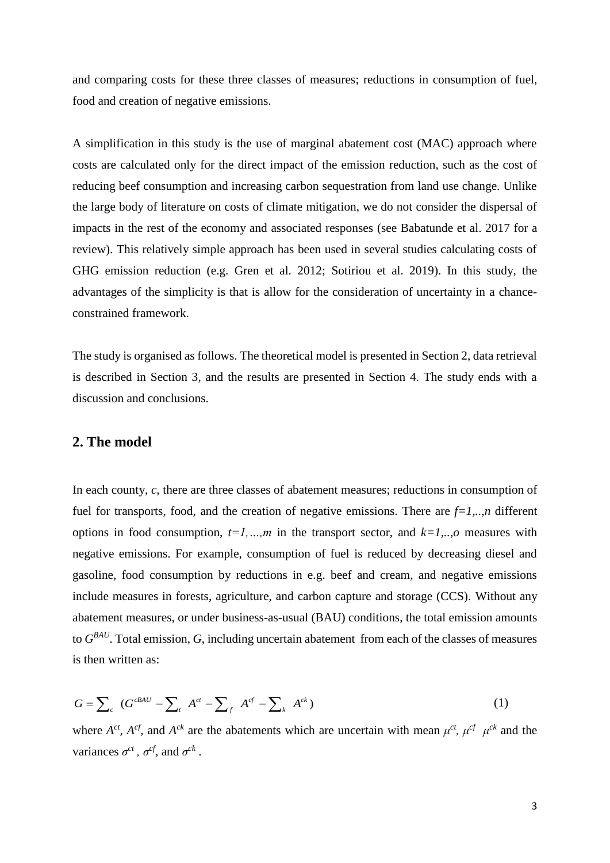and comparing costs for these three classes of measures; reductions in consumption of fuel, food and creation of negative emissions.

A simplification in this study is the use of marginal abatement cost (MAC) approach where costs are calculated only for the direct impact of the emission reduction, such as the cost of reducing beef consumption and increasing carbon sequestration from land use change. Unlike the large body of literature on costs of climate mitigation, we do not consider the dispersal of impacts in the rest of the economy and associated responses (see Babatunde et al. 2017 for a review). This relatively simple approach has been used in several studies calculating costs of GHG emission reduction (e.g. Gren et al. 2012; Sotiriou et al. 2019). In this study, the advantages of the simplicity is that is allow for the consideration of uncertainty in a chanceconstrained framework.

The study is organised as follows. The theoretical model is presented in Section 2, data retrieval is described in Section 3, and the results are presented in Section 4. The study ends with a discussion and conclusions.

## **2. The model**

In each county, *c*, there are three classes of abatement measures; reductions in consumption of fuel for transports, food, and the creation of negative emissions. There are  $f=1, \ldots, n$  different options in food consumption, *t=1,…,m* in the transport sector, and *k=1,..,o* measures with negative emissions. For example, consumption of fuel is reduced by decreasing diesel and gasoline, food consumption by reductions in e.g. beef and cream, and negative emissions include measures in forests, agriculture, and carbon capture and storage (CCS). Without any abatement measures, or under business-as-usual (BAU) conditions, the total emission amounts to *G BAU* . Total emission, *G*, including uncertain abatement from each of the classes of measures is then written as:

is then written as:  
\n
$$
G = \sum_{c} (G^{cBAU} - \sum_{t} A^{ct} - \sum_{f} A^{cf} - \sum_{k} A^{ck})
$$
\n(1)

where  $A^{ct}$ ,  $A^{cf}$ , and  $A^{ck}$  are the abatements which are uncertain with mean  $\mu^{ct}$ ,  $\mu^{cf}$   $\mu^{ck}$  and the variances  $\sigma^{ct}$ ,  $\sigma^{cf}$ , and  $\sigma^{ck}$ .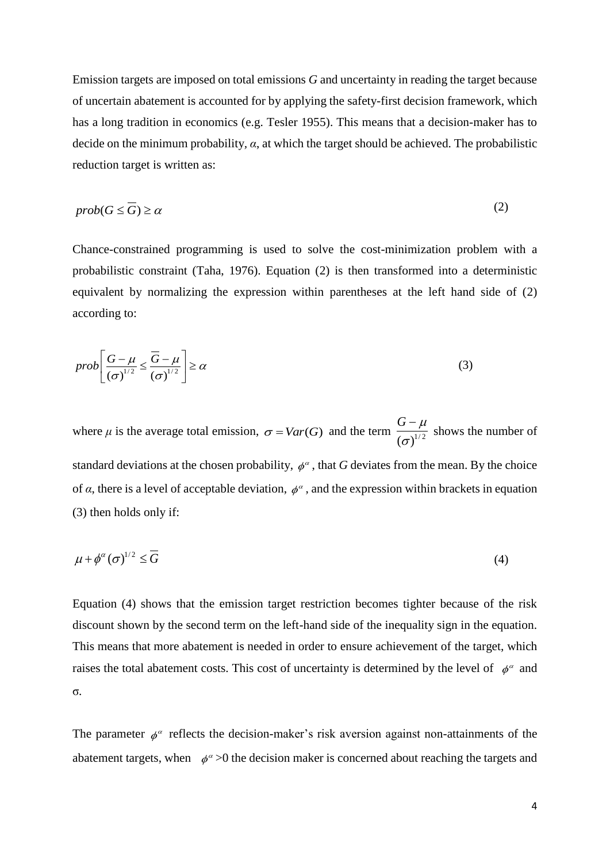Emission targets are imposed on total emissions *G* and uncertainty in reading the target because of uncertain abatement is accounted for by applying the safety-first decision framework, which has a long tradition in economics (e.g. Tesler 1955). This means that a decision-maker has to decide on the minimum probability*, α*, at which the target should be achieved. The probabilistic reduction target is written as:

$$
prob(G \le \overline{G}) \ge \alpha \tag{2}
$$

Chance-constrained programming is used to solve the cost-minimization problem with a probabilistic constraint (Taha, 1976). Equation (2) is then transformed into a deterministic equivalent by normalizing the expression within parentheses at the left hand side of (2) according to:

$$
prob\left[\frac{G-\mu}{\left(\sigma\right)^{1/2}} \leq \frac{\overline{G}-\mu}{\left(\sigma\right)^{1/2}}\right] \geq \alpha \tag{3}
$$

where  $\mu$  is the average total emission,  $\sigma = Var(G)$  and the term  $\frac{O(\mu)}{(\sigma)^{1/2}}$  $G - \mu$ σ  $\overline{a}$ shows the number of standard deviations at the chosen probability,  $\phi^{\alpha}$ , that *G* deviates from the mean. By the choice of  $\alpha$ , there is a level of acceptable deviation,  $\phi^{\alpha}$ , and the expression within brackets in equation (3) then holds only if:

$$
\mu + \phi^{\alpha} (\sigma)^{1/2} \leq \overline{G} \tag{4}
$$

Equation (4) shows that the emission target restriction becomes tighter because of the risk discount shown by the second term on the left-hand side of the inequality sign in the equation. This means that more abatement is needed in order to ensure achievement of the target, which raises the total abatement costs. This cost of uncertainty is determined by the level of  $\phi^{\alpha}$  and σ*.*

The parameter  $\phi^{\alpha}$  reflects the decision-maker's risk aversion against non-attainments of the abatement targets, when  $\phi^{\alpha} > 0$  the decision maker is concerned about reaching the targets and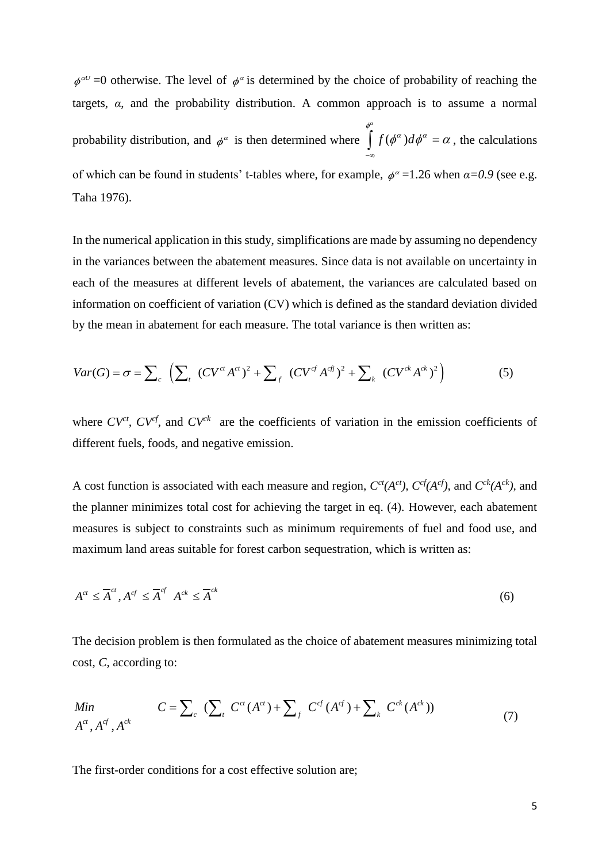$\phi^{\alpha\beta}$  =0 otherwise. The level of  $\phi^{\alpha}$  is determined by the choice of probability of reaching the targets, *α*, and the probability distribution. A common approach is to assume a normal probability distribution, and  $\phi^{\alpha}$  is then determined where  $\int f(\phi^{\alpha}) d\theta$  $\int_{a}^{\phi^{\alpha}} f(\phi^{\alpha}) d\phi^{\alpha} = \alpha$ , the calculations  $-\infty$ of which can be found in students' t-tables where, for example,  $\phi^{\alpha} = 1.26$  when  $\alpha = 0.9$  (see e.g. Taha 1976).

In the numerical application in this study, simplifications are made by assuming no dependency in the variances between the abatement measures. Since data is not available on uncertainty in each of the measures at different levels of abatement, the variances are calculated based on information on coefficient of variation (CV) which is defined as the standard deviation divided by the mean in abatement for each measure. The total variance is then written as: Information on coefficient of variation (CV) which is defined as the standard deviation div<br>by the mean in abatement for each measure. The total variance is then written as:<br> $Var(G) = \sigma = \sum_{c} \left( \sum_{t} (CV^{ct} A^{ct})^2 + \sum_{f} (CV^{cf} A^{cf})$ 

by the mean in abatement for each measure. The total variance is then written as:  
\n
$$
Var(G) = \sigma = \sum_{c} \left( \sum_{t} (CV^{ct} A^{ct})^{2} + \sum_{f} (CV^{cf} A^{cf})^{2} + \sum_{k} (CV^{ck} A^{ck})^{2} \right)
$$
\n(5)

where  $CV^{ct}$ ,  $CV^{cf}$ , and  $CV^{ck}$  are the coefficients of variation in the emission coefficients of different fuels, foods, and negative emission.

A cost function is associated with each measure and region,  $C^{ct}(A^{ct})$ ,  $C^{cf}(A^{cf})$ , and  $C^{ck}(A^{ck})$ , and the planner minimizes total cost for achieving the target in eq. (4). However, each abatement measures is subject to constraints such as minimum requirements of fuel and food use, and maximum land areas suitable for forest carbon sequestration, which is written as:

$$
A^{ct} \leq \overline{A}^{ct}, A^{cf} \leq \overline{A}^{cf} \quad A^{ck} \leq \overline{A}^{ck} \tag{6}
$$

The decision problem is then formulated as the choice of abatement measures minimizing total cost, *C,* according to:

The decision problem is then formulated as the choice of abatement measures minimizing to:   
\n
$$
\text{A}^{ct}, C, \text{ according to:}
$$
\n
$$
C = \sum_{c} \left( \sum_{t} C^{ct} (A^{ct}) + \sum_{f} C^{cf} (A^{cf}) + \sum_{k} C^{ck} (A^{ck}) \right) \tag{7}
$$

The first-order conditions for a cost effective solution are;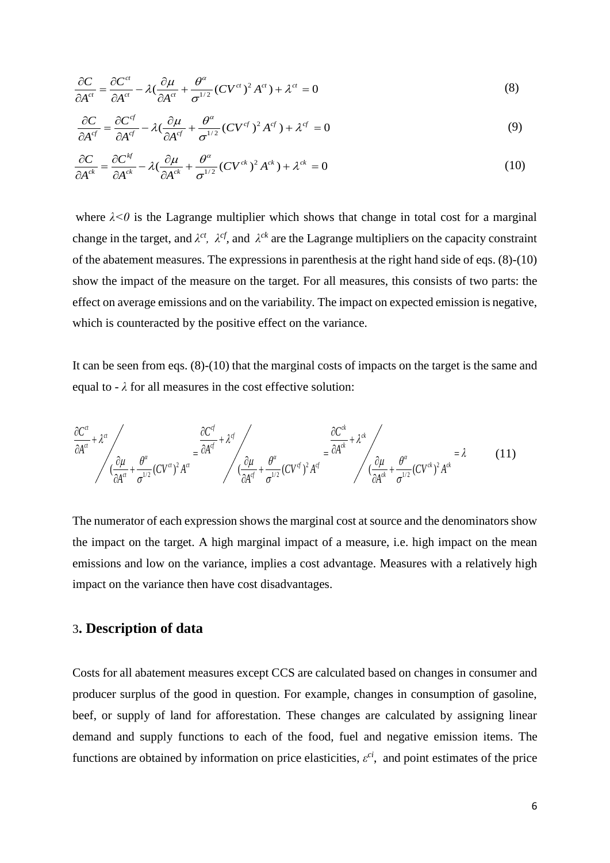$$
\frac{\partial C}{\partial A^{ct}} = \frac{\partial C^{ct}}{\partial A^{ct}} - \lambda \left( \frac{\partial \mu}{\partial A^{ct}} + \frac{\theta^{\alpha}}{\sigma^{1/2}} (CV^{ct})^2 A^{ct} \right) + \lambda^{ct} = 0
$$
\n(8)

$$
\frac{\partial C}{\partial A^{cf}} = \frac{\partial C^{cf}}{\partial A^{cf}} - \lambda \left( \frac{\partial \mu}{\partial A^{cf}} + \frac{\partial^{\alpha}}{\partial A^{cf}} \right) + \lambda^{\beta} = 0
$$
\n
$$
\frac{\partial C}{\partial A^{cf}} = \frac{\partial C^{cf}}{\partial A^{cf}} - \lambda \left( \frac{\partial \mu}{\partial A^{cf}} + \frac{\partial^{\alpha}}{\partial A^{cf}} \right) + \lambda^{\beta} = 0
$$
\n(9)

$$
\frac{\partial C}{\partial A^{cf}} = \frac{\partial C^{cf}}{\partial A^{cf}} - \lambda \left( \frac{\partial \mu}{\partial A^{cf}} + \frac{\partial^{\alpha}}{\partial A^{1/2}} (C V^{c}) A^{c} \right) + \lambda^{c} = 0
$$
\n
$$
\frac{\partial C}{\partial A^{ck}} = \frac{\partial C^{bf}}{\partial A^{ck}} - \lambda \left( \frac{\partial \mu}{\partial A^{ck}} + \frac{\partial^{\alpha}}{\partial A^{1/2}} (C V^{ck})^{2} A^{ck} \right) + \lambda^{ck} = 0
$$
\n(10)

where  $\lambda < 0$  is the Lagrange multiplier which shows that change in total cost for a marginal change in the target, and  $\lambda^{ct}$ ,  $\lambda^{cf}$ , and  $\lambda^{ck}$  are the Lagrange multipliers on the capacity constraint of the abatement measures. The expressions in parenthesis at the right hand side of eqs. (8)-(10) show the impact of the measure on the target. For all measures, this consists of two parts: the effect on average emissions and on the variability. The impact on expected emission is negative, which is counteracted by the positive effect on the variance.

It can be seen from eqs. (8)-(10) that the marginal costs of impacts on the target is the same and

equal to - 
$$
\lambda
$$
 for all measures in the cost effective solution:  
\n
$$
\frac{\partial C^{\alpha}}{\partial A^{\alpha}} + \lambda^{\alpha} \Bigg/_{\alpha} \frac{\partial C^{\beta}}{\partial A^{\alpha}} + \frac{\theta^{\alpha}}{\sigma^{1/2}} (CV^{\alpha})^2 A^{\alpha} + \frac{\theta^{\alpha}}{\sigma^{1/2}} (CV^{\alpha})^2 A^{\beta} + \frac{\theta^{\alpha}}{\sigma^{1/2}} (CV^{\beta})^2 A^{\beta} + \frac{\theta^{\alpha}}{\sigma^{1/2}} (CV^{\beta})^2 A^{\beta} + \frac{\theta^{\alpha}}{\sigma^{1/2}} (CV^{\alpha})^2 A^{\alpha} + \frac{\theta^{\alpha}}{\sigma^{1/2}} (CV^{\alpha})^2 A^{\alpha}
$$
\n(11)

The numerator of each expression shows the marginal cost at source and the denominators show the impact on the target. A high marginal impact of a measure, i.e. high impact on the mean emissions and low on the variance, implies a cost advantage. Measures with a relatively high impact on the variance then have cost disadvantages.

## 3**. Description of data**

Costs for all abatement measures except CCS are calculated based on changes in consumer and producer surplus of the good in question. For example, changes in consumption of gasoline, beef, or supply of land for afforestation. These changes are calculated by assigning linear demand and supply functions to each of the food, fuel and negative emission items. The functions are obtained by information on price elasticities,  $\varepsilon^{ci}$ , and point estimates of the price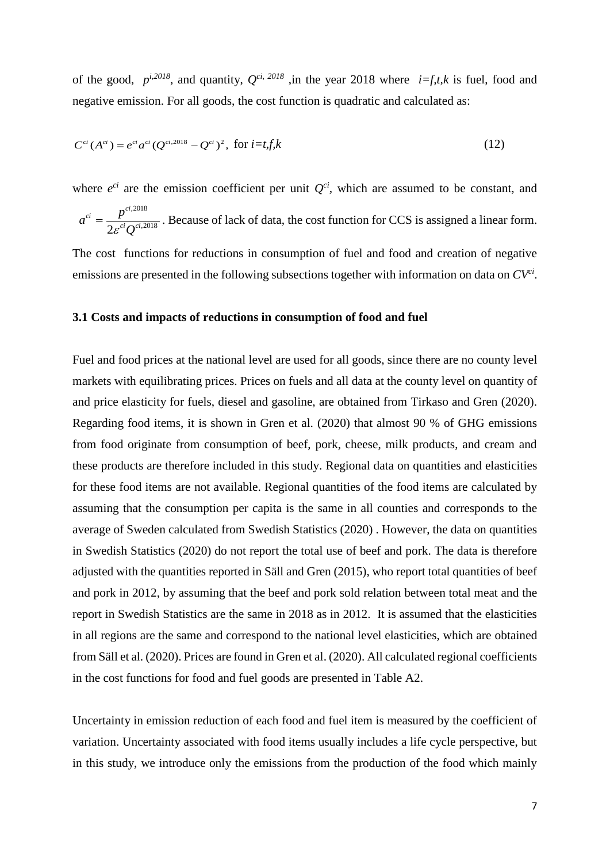of the good,  $p^{i,2018}$ , and quantity,  $Q^{ci, 2018}$ , in the year 2018 where  $i=f, t, k$  is fuel, food and negative emission. For all goods, the cost function is quadratic and calculated as:

$$
C^{ci}(A^{ci}) = e^{ci}a^{ci}(Q^{ci,2018} - Q^{ci})^2, \text{ for } i = t, f, k
$$
 (12)

where  $e^{ci}$  are the emission coefficient per unit  $Q^{ci}$ , which are assumed to be constant, and ,2018 *ci ci*  $a^{ci} = \frac{p}{\sqrt{p}}$  $=\frac{P}{\epsilon_0}$  . Because of lack of data, the cost function for CCS is assigned a linear form.

The cost functions for reductions in consumption of fuel and food and creation of negative emissions are presented in the following subsections together with information on data on *CVci* .

#### **3.1 Costs and impacts of reductions in consumption of food and fuel**

 $2\varepsilon^{ci} \mathcal{Q}^{ci,2018}$ 

 $\overline{c^i}$ *ci* 

 $\varepsilon^{^{ci}}Q$ 

Fuel and food prices at the national level are used for all goods, since there are no county level markets with equilibrating prices. Prices on fuels and all data at the county level on quantity of and price elasticity for fuels, diesel and gasoline, are obtained from Tirkaso and Gren (2020). Regarding food items, it is shown in Gren et al. (2020) that almost 90 % of GHG emissions from food originate from consumption of beef, pork, cheese, milk products, and cream and these products are therefore included in this study. Regional data on quantities and elasticities for these food items are not available. Regional quantities of the food items are calculated by assuming that the consumption per capita is the same in all counties and corresponds to the average of Sweden calculated from Swedish Statistics (2020) . However, the data on quantities in Swedish Statistics (2020) do not report the total use of beef and pork. The data is therefore adjusted with the quantities reported in Säll and Gren (2015), who report total quantities of beef and pork in 2012, by assuming that the beef and pork sold relation between total meat and the report in Swedish Statistics are the same in 2018 as in 2012. It is assumed that the elasticities in all regions are the same and correspond to the national level elasticities, which are obtained from Säll et al. (2020). Prices are found in Gren et al. (2020). All calculated regional coefficients in the cost functions for food and fuel goods are presented in Table A2.

Uncertainty in emission reduction of each food and fuel item is measured by the coefficient of variation. Uncertainty associated with food items usually includes a life cycle perspective, but in this study, we introduce only the emissions from the production of the food which mainly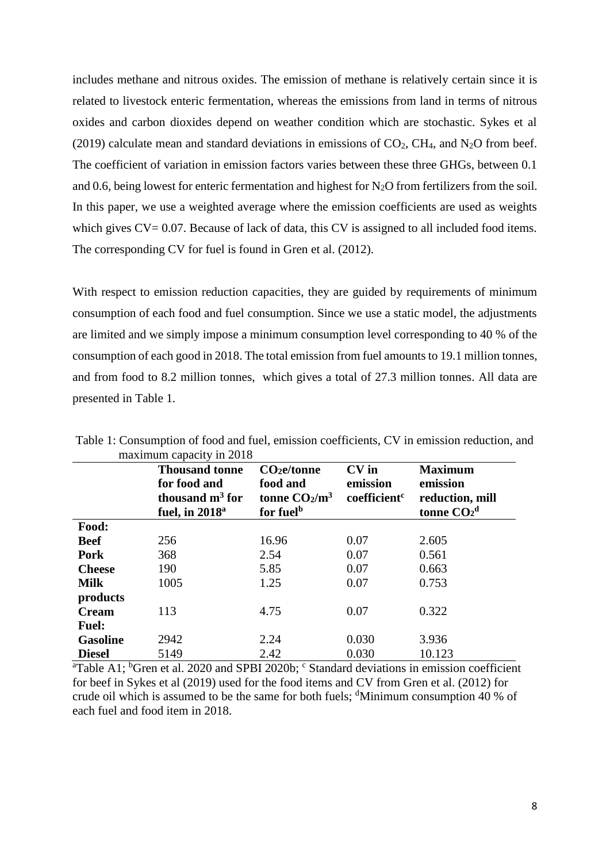includes methane and nitrous oxides. The emission of methane is relatively certain since it is related to livestock enteric fermentation, whereas the emissions from land in terms of nitrous oxides and carbon dioxides depend on weather condition which are stochastic. Sykes et al (2019) calculate mean and standard deviations in emissions of  $CO<sub>2</sub>$ , CH<sub>4</sub>, and N<sub>2</sub>O from beef. The coefficient of variation in emission factors varies between these three GHGs, between 0.1 and 0.6, being lowest for enteric fermentation and highest for  $N<sub>2</sub>O$  from fertilizers from the soil. In this paper, we use a weighted average where the emission coefficients are used as weights which gives  $CV = 0.07$ . Because of lack of data, this CV is assigned to all included food items. The corresponding CV for fuel is found in Gren et al. (2012).

With respect to emission reduction capacities, they are guided by requirements of minimum consumption of each food and fuel consumption. Since we use a static model, the adjustments are limited and we simply impose a minimum consumption level corresponding to 40 % of the consumption of each good in 2018. The total emission from fuel amounts to 19.1 million tonnes, and from food to 8.2 million tonnes, which gives a total of 27.3 million tonnes. All data are presented in Table 1.

|                 | <b>Thousand tonne</b><br>for food and<br>thousand $m3$ for<br>fuel, in $2018a$ | $CO2$ e/tonne<br>food and<br>tonne $CO2/m3$<br>for fuel <sup>b</sup> | $CV$ in<br>emission<br>coefficient <sup>c</sup> | <b>Maximum</b><br>emission<br>reduction, mill<br>tonne $CO2d$ |
|-----------------|--------------------------------------------------------------------------------|----------------------------------------------------------------------|-------------------------------------------------|---------------------------------------------------------------|
| Food:           |                                                                                |                                                                      |                                                 |                                                               |
| <b>Beef</b>     | 256                                                                            | 16.96                                                                | 0.07                                            | 2.605                                                         |
| Pork            | 368                                                                            | 2.54                                                                 | 0.07                                            | 0.561                                                         |
| <b>Cheese</b>   | 190                                                                            | 5.85                                                                 | 0.07                                            | 0.663                                                         |
| <b>Milk</b>     | 1005                                                                           | 1.25                                                                 | 0.07                                            | 0.753                                                         |
| products        |                                                                                |                                                                      |                                                 |                                                               |
| <b>Cream</b>    | 113                                                                            | 4.75                                                                 | 0.07                                            | 0.322                                                         |
| <b>Fuel:</b>    |                                                                                |                                                                      |                                                 |                                                               |
| <b>Gasoline</b> | 2942                                                                           | 2.24                                                                 | 0.030                                           | 3.936                                                         |
| <b>Diesel</b>   | 5149                                                                           | 2.42                                                                 | 0.030                                           | 10.123                                                        |

Table 1: Consumption of food and fuel, emission coefficients, CV in emission reduction, and maximum capacity in 2018

<sup>a</sup>Table A1; <sup>b</sup>Gren et al. 2020 and SPBI 2020b;  $\degree$  Standard deviations in emission coefficient for beef in Sykes et al (2019) used for the food items and CV from Gren et al. (2012) for crude oil which is assumed to be the same for both fuels;  $\text{d}$ Minimum consumption 40 % of each fuel and food item in 2018.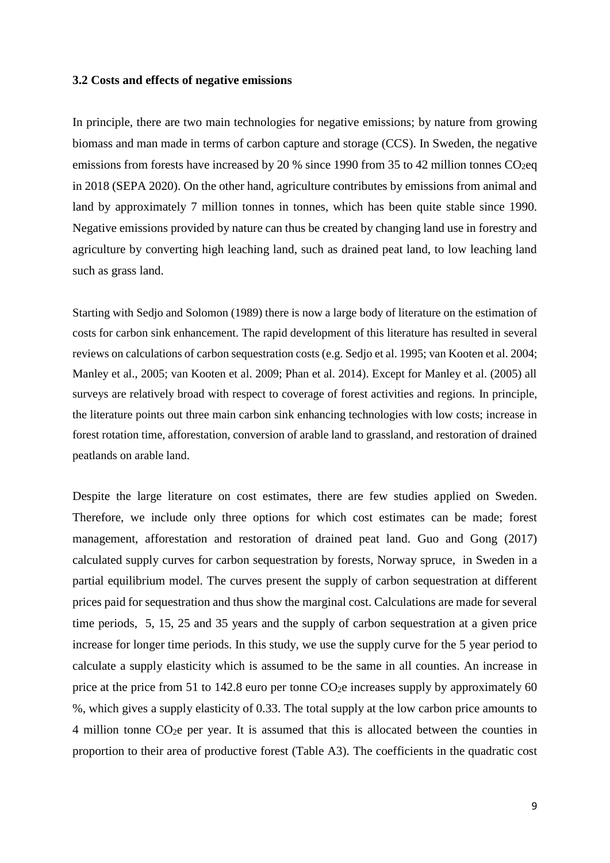#### **3.2 Costs and effects of negative emissions**

In principle, there are two main technologies for negative emissions; by nature from growing biomass and man made in terms of carbon capture and storage (CCS). In Sweden, the negative emissions from forests have increased by 20 % since 1990 from 35 to 42 million tonnes  $CO<sub>2</sub>$ eq in 2018 (SEPA 2020). On the other hand, agriculture contributes by emissions from animal and land by approximately 7 million tonnes in tonnes, which has been quite stable since 1990. Negative emissions provided by nature can thus be created by changing land use in forestry and agriculture by converting high leaching land, such as drained peat land, to low leaching land such as grass land.

Starting with Sedjo and Solomon (1989) there is now a large body of literature on the estimation of costs for carbon sink enhancement. The rapid development of this literature has resulted in several reviews on calculations of carbon sequestration costs (e.g. Sedjo et al. 1995; van Kooten et al. 2004; Manley et al., 2005; van Kooten et al. 2009; Phan et al. 2014). Except for Manley et al. (2005) all surveys are relatively broad with respect to coverage of forest activities and regions. In principle, the literature points out three main carbon sink enhancing technologies with low costs; increase in forest rotation time, afforestation, conversion of arable land to grassland, and restoration of drained peatlands on arable land.

Despite the large literature on cost estimates, there are few studies applied on Sweden. Therefore, we include only three options for which cost estimates can be made; forest management, afforestation and restoration of drained peat land. Guo and Gong (2017) calculated supply curves for carbon sequestration by forests, Norway spruce, in Sweden in a partial equilibrium model. The curves present the supply of carbon sequestration at different prices paid for sequestration and thus show the marginal cost. Calculations are made for several time periods, 5, 15, 25 and 35 years and the supply of carbon sequestration at a given price increase for longer time periods. In this study, we use the supply curve for the 5 year period to calculate a supply elasticity which is assumed to be the same in all counties. An increase in price at the price from 51 to 142.8 euro per tonne  $CO<sub>2</sub>e$  increases supply by approximately 60 %, which gives a supply elasticity of 0.33. The total supply at the low carbon price amounts to 4 million tonne CO2e per year. It is assumed that this is allocated between the counties in proportion to their area of productive forest (Table A3). The coefficients in the quadratic cost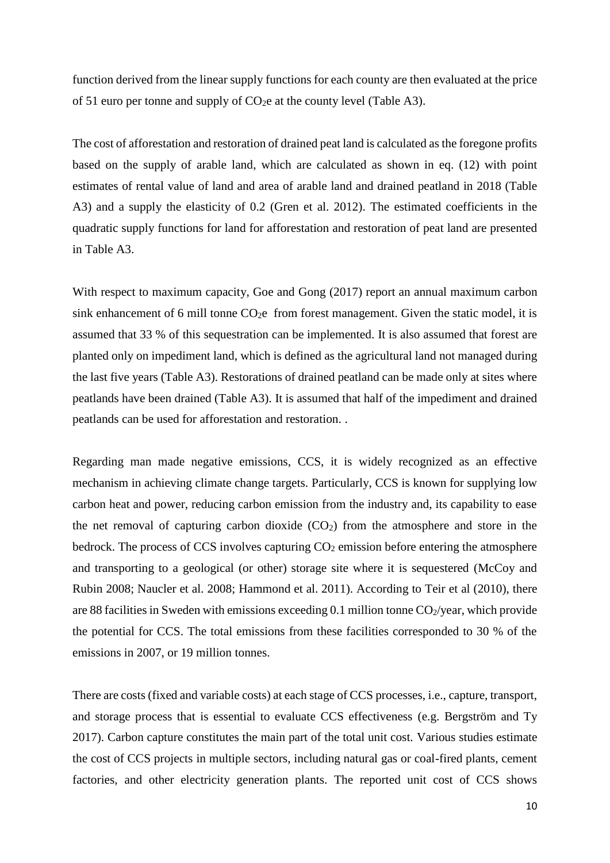function derived from the linear supply functions for each county are then evaluated at the price of 51 euro per tonne and supply of  $CO<sub>2</sub>e$  at the county level (Table A3).

The cost of afforestation and restoration of drained peat land is calculated as the foregone profits based on the supply of arable land, which are calculated as shown in eq. (12) with point estimates of rental value of land and area of arable land and drained peatland in 2018 (Table A3) and a supply the elasticity of 0.2 (Gren et al. 2012). The estimated coefficients in the quadratic supply functions for land for afforestation and restoration of peat land are presented in Table A3.

With respect to maximum capacity, Goe and Gong (2017) report an annual maximum carbon sink enhancement of 6 mill tonne  $CO<sub>2</sub>e$  from forest management. Given the static model, it is assumed that 33 % of this sequestration can be implemented. It is also assumed that forest are planted only on impediment land, which is defined as the agricultural land not managed during the last five years (Table A3). Restorations of drained peatland can be made only at sites where peatlands have been drained (Table A3). It is assumed that half of the impediment and drained peatlands can be used for afforestation and restoration. .

Regarding man made negative emissions, CCS, it is widely recognized as an effective mechanism in achieving climate change targets. Particularly, CCS is known for supplying low carbon heat and power, reducing carbon emission from the industry and, its capability to ease the net removal of capturing carbon dioxide  $(CO<sub>2</sub>)$  from the atmosphere and store in the bedrock. The process of CCS involves capturing  $CO<sub>2</sub>$  emission before entering the atmosphere and transporting to a geological (or other) storage site where it is sequestered (McCoy and Rubin 2008; Naucler et al. 2008; Hammond et al. 2011). According to Teir et al (2010), there are 88 facilities in Sweden with emissions exceeding 0.1 million tonne  $CO_2$ /year, which provide the potential for CCS. The total emissions from these facilities corresponded to 30 % of the emissions in 2007, or 19 million tonnes.

There are costs (fixed and variable costs) at each stage of CCS processes, i.e., capture, transport, and storage process that is essential to evaluate CCS effectiveness (e.g. Bergström and Ty 2017). Carbon capture constitutes the main part of the total unit cost. Various studies estimate the cost of CCS projects in multiple sectors, including natural gas or coal-fired plants, cement factories, and other electricity generation plants. The reported unit cost of CCS shows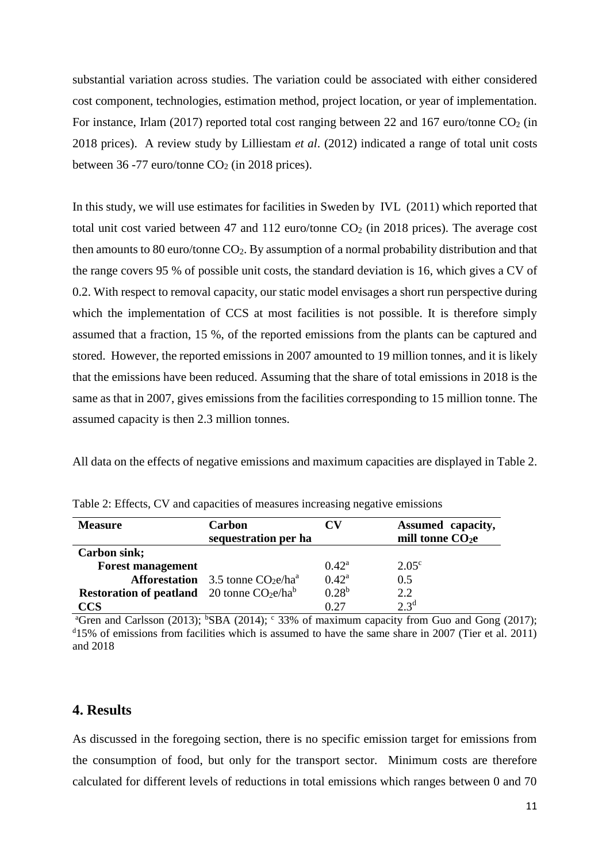substantial variation across studies. The variation could be associated with either considered cost component, technologies, estimation method, project location, or year of implementation. For instance, Irlam (2017) reported total cost ranging between 22 and 167 euro/tonne  $CO<sub>2</sub>$  (in 2018 prices). A review study by Lilliestam *et al*. (2012) indicated a range of total unit costs between 36 -77 euro/tonne  $CO<sub>2</sub>$  (in 2018 prices).

In this study, we will use estimates for facilities in Sweden by IVL (2011) which reported that total unit cost varied between 47 and 112 euro/tonne  $CO<sub>2</sub>$  (in 2018 prices). The average cost then amounts to 80 euro/tonne CO2. By assumption of a normal probability distribution and that the range covers 95 % of possible unit costs, the standard deviation is 16, which gives a CV of 0.2. With respect to removal capacity, our static model envisages a short run perspective during which the implementation of CCS at most facilities is not possible. It is therefore simply assumed that a fraction, 15 %, of the reported emissions from the plants can be captured and stored. However, the reported emissions in 2007 amounted to 19 million tonnes, and it is likely that the emissions have been reduced. Assuming that the share of total emissions in 2018 is the same as that in 2007, gives emissions from the facilities corresponding to 15 million tonne. The assumed capacity is then 2.3 million tonnes.

All data on the effects of negative emissions and maximum capacities are displayed in Table 2.

| <b>Measure</b>                                     | Carbon<br>sequestration per ha            |                | Assumed capacity,<br>mill tonne $CO2e$ |
|----------------------------------------------------|-------------------------------------------|----------------|----------------------------------------|
| <b>Carbon sink;</b>                                |                                           |                |                                        |
| <b>Forest management</b>                           |                                           | $0.42^{\rm a}$ | $2.05^{\circ}$                         |
|                                                    | <b>Afforestation</b> 3.5 tonne $CO2e/haa$ | $0.42^{\rm a}$ | 0.5                                    |
| <b>Restoration of peatland</b> 20 tonne $CO2e/hab$ |                                           | $0.28^{b}$     | 2.2                                    |
| CCS                                                |                                           | 0.27           | $2.3^{d}$                              |

Table 2: Effects, CV and capacities of measures increasing negative emissions

<sup>a</sup>Gren and Carlsson (2013); <sup>b</sup>SBA (2014);  $\textdegree$  33% of maximum capacity from Guo and Gong (2017);  $d_{15}$ % of emissions from facilities which is assumed to have the same share in 2007 (Tier et al. 2011) and 2018

### **4. Results**

As discussed in the foregoing section, there is no specific emission target for emissions from the consumption of food, but only for the transport sector. Minimum costs are therefore calculated for different levels of reductions in total emissions which ranges between 0 and 70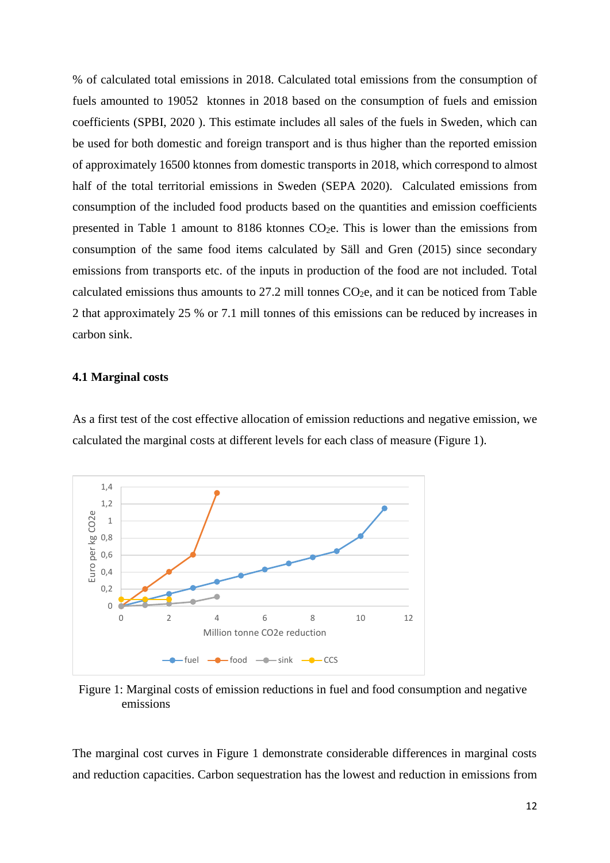% of calculated total emissions in 2018. Calculated total emissions from the consumption of fuels amounted to 19052 ktonnes in 2018 based on the consumption of fuels and emission coefficients (SPBI, 2020 ). This estimate includes all sales of the fuels in Sweden, which can be used for both domestic and foreign transport and is thus higher than the reported emission of approximately 16500 ktonnes from domestic transports in 2018, which correspond to almost half of the total territorial emissions in Sweden (SEPA 2020). Calculated emissions from consumption of the included food products based on the quantities and emission coefficients presented in Table 1 amount to 8186 ktonnes CO2e. This is lower than the emissions from consumption of the same food items calculated by Säll and Gren (2015) since secondary emissions from transports etc. of the inputs in production of the food are not included. Total calculated emissions thus amounts to  $27.2$  mill tonnes  $CO<sub>2</sub>e$ , and it can be noticed from Table 2 that approximately 25 % or 7.1 mill tonnes of this emissions can be reduced by increases in carbon sink.

#### **4.1 Marginal costs**

As a first test of the cost effective allocation of emission reductions and negative emission, we calculated the marginal costs at different levels for each class of measure (Figure 1).



Figure 1: Marginal costs of emission reductions in fuel and food consumption and negative emissions

The marginal cost curves in Figure 1 demonstrate considerable differences in marginal costs and reduction capacities. Carbon sequestration has the lowest and reduction in emissions from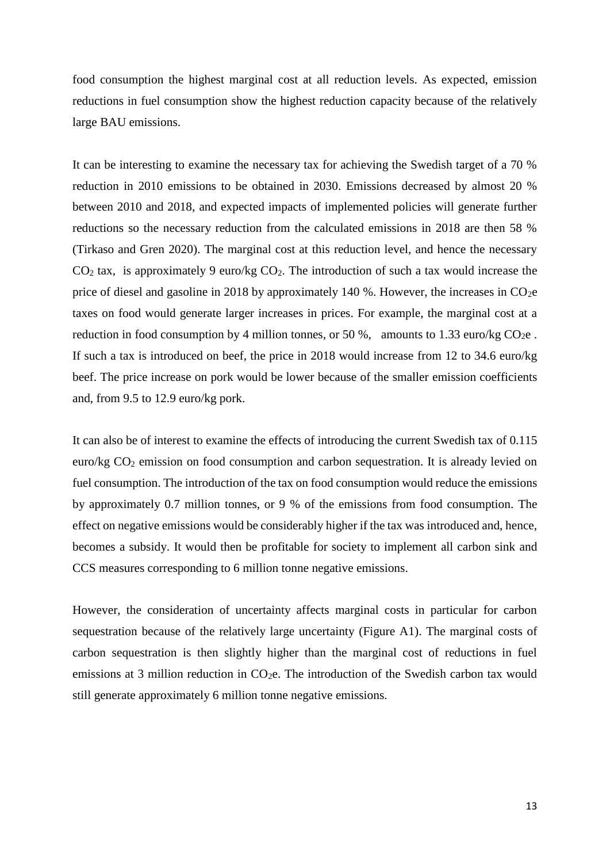food consumption the highest marginal cost at all reduction levels. As expected, emission reductions in fuel consumption show the highest reduction capacity because of the relatively large BAU emissions.

It can be interesting to examine the necessary tax for achieving the Swedish target of a 70 % reduction in 2010 emissions to be obtained in 2030. Emissions decreased by almost 20 % between 2010 and 2018, and expected impacts of implemented policies will generate further reductions so the necessary reduction from the calculated emissions in 2018 are then 58 % (Tirkaso and Gren 2020). The marginal cost at this reduction level, and hence the necessary  $CO<sub>2</sub>$  tax, is approximately 9 euro/kg  $CO<sub>2</sub>$ . The introduction of such a tax would increase the price of diesel and gasoline in 2018 by approximately 140 %. However, the increases in  $CO<sub>2</sub>e$ taxes on food would generate larger increases in prices. For example, the marginal cost at a reduction in food consumption by 4 million tonnes, or 50 %, amounts to 1.33 euro/kg  $CO<sub>2</sub>e$ . If such a tax is introduced on beef, the price in 2018 would increase from 12 to 34.6 euro/kg beef. The price increase on pork would be lower because of the smaller emission coefficients and, from 9.5 to 12.9 euro/kg pork.

It can also be of interest to examine the effects of introducing the current Swedish tax of 0.115 euro/kg CO<sub>2</sub> emission on food consumption and carbon sequestration. It is already levied on fuel consumption. The introduction of the tax on food consumption would reduce the emissions by approximately 0.7 million tonnes, or 9 % of the emissions from food consumption. The effect on negative emissions would be considerably higher if the tax was introduced and, hence, becomes a subsidy. It would then be profitable for society to implement all carbon sink and CCS measures corresponding to 6 million tonne negative emissions.

However, the consideration of uncertainty affects marginal costs in particular for carbon sequestration because of the relatively large uncertainty (Figure A1). The marginal costs of carbon sequestration is then slightly higher than the marginal cost of reductions in fuel emissions at 3 million reduction in CO<sub>2</sub>e. The introduction of the Swedish carbon tax would still generate approximately 6 million tonne negative emissions.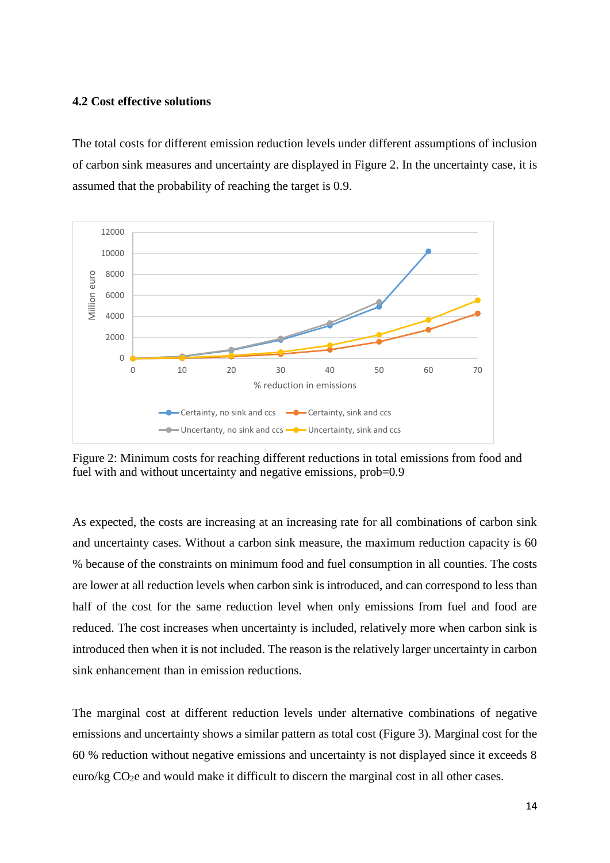#### **4.2 Cost effective solutions**

The total costs for different emission reduction levels under different assumptions of inclusion of carbon sink measures and uncertainty are displayed in Figure 2. In the uncertainty case, it is assumed that the probability of reaching the target is 0.9.



Figure 2: Minimum costs for reaching different reductions in total emissions from food and fuel with and without uncertainty and negative emissions, prob=0.9

As expected, the costs are increasing at an increasing rate for all combinations of carbon sink and uncertainty cases. Without a carbon sink measure, the maximum reduction capacity is 60 % because of the constraints on minimum food and fuel consumption in all counties. The costs are lower at all reduction levels when carbon sink is introduced, and can correspond to less than half of the cost for the same reduction level when only emissions from fuel and food are reduced. The cost increases when uncertainty is included, relatively more when carbon sink is introduced then when it is not included. The reason is the relatively larger uncertainty in carbon sink enhancement than in emission reductions.

The marginal cost at different reduction levels under alternative combinations of negative emissions and uncertainty shows a similar pattern as total cost (Figure 3). Marginal cost for the 60 % reduction without negative emissions and uncertainty is not displayed since it exceeds 8 euro/kg CO<sub>2</sub>e and would make it difficult to discern the marginal cost in all other cases.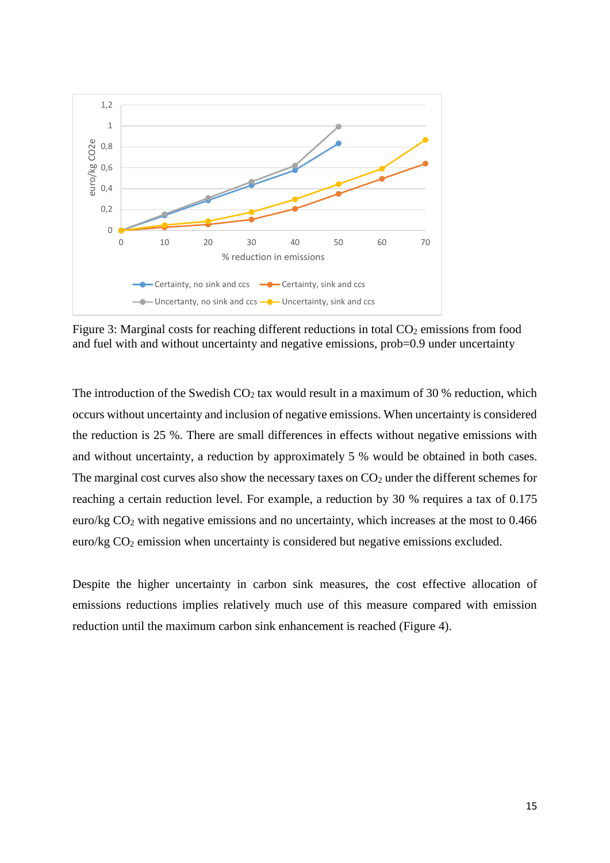

Figure 3: Marginal costs for reaching different reductions in total CO<sub>2</sub> emissions from food and fuel with and without uncertainty and negative emissions, prob=0.9 under uncertainty

The introduction of the Swedish  $CO<sub>2</sub>$  tax would result in a maximum of 30 % reduction, which occurs without uncertainty and inclusion of negative emissions. When uncertainty is considered the reduction is 25 %. There are small differences in effects without negative emissions with and without uncertainty, a reduction by approximately 5 % would be obtained in both cases. The marginal cost curves also show the necessary taxes on  $CO<sub>2</sub>$  under the different schemes for reaching a certain reduction level. For example, a reduction by 30 % requires a tax of 0.175 euro/kg CO<sup>2</sup> with negative emissions and no uncertainty, which increases at the most to 0.466 euro/kg CO<sub>2</sub> emission when uncertainty is considered but negative emissions excluded.

Despite the higher uncertainty in carbon sink measures, the cost effective allocation of emissions reductions implies relatively much use of this measure compared with emission reduction until the maximum carbon sink enhancement is reached (Figure 4).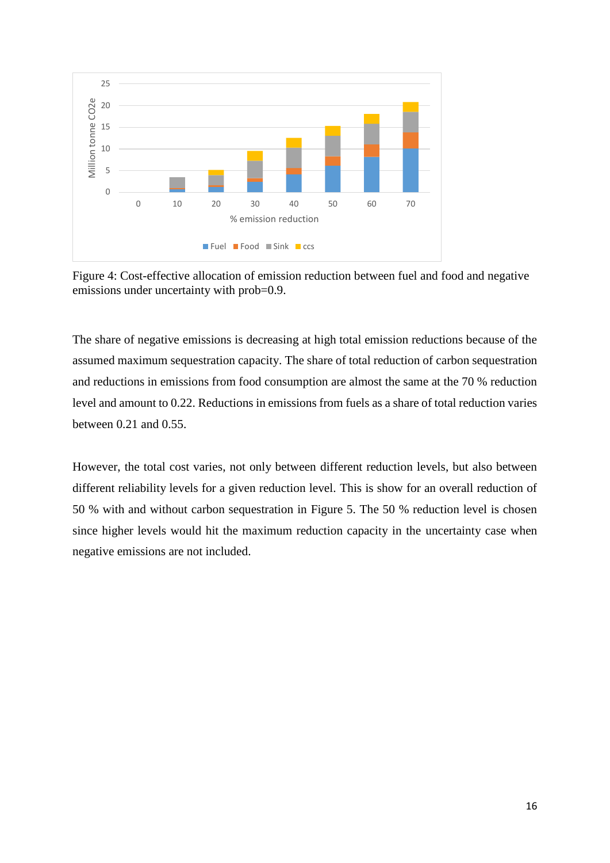

Figure 4: Cost-effective allocation of emission reduction between fuel and food and negative emissions under uncertainty with prob=0.9.

The share of negative emissions is decreasing at high total emission reductions because of the assumed maximum sequestration capacity. The share of total reduction of carbon sequestration and reductions in emissions from food consumption are almost the same at the 70 % reduction level and amount to 0.22. Reductions in emissions from fuels as a share of total reduction varies between  $0.21$  and  $0.55$ .

However, the total cost varies, not only between different reduction levels, but also between different reliability levels for a given reduction level. This is show for an overall reduction of 50 % with and without carbon sequestration in Figure 5. The 50 % reduction level is chosen since higher levels would hit the maximum reduction capacity in the uncertainty case when negative emissions are not included.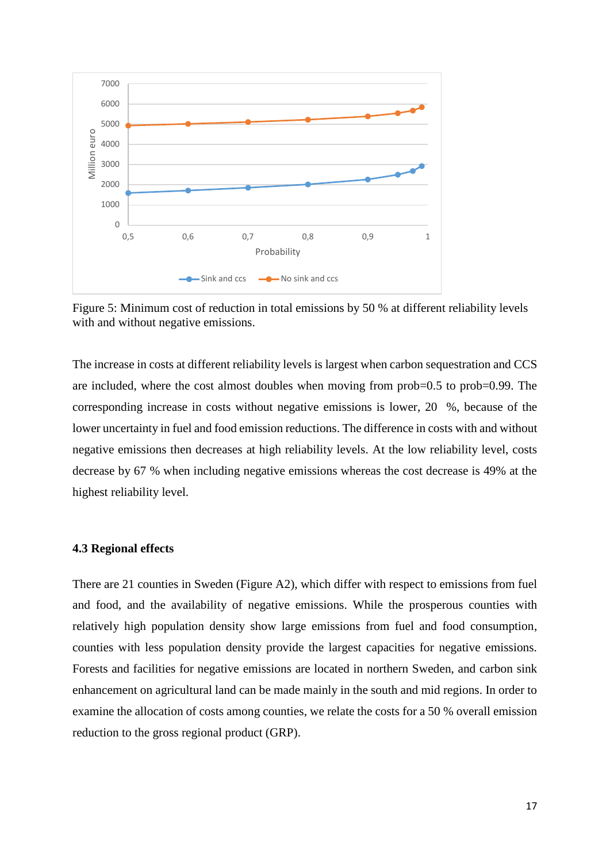

Figure 5: Minimum cost of reduction in total emissions by 50 % at different reliability levels with and without negative emissions.

The increase in costs at different reliability levels is largest when carbon sequestration and CCS are included, where the cost almost doubles when moving from prob=0.5 to prob=0.99. The corresponding increase in costs without negative emissions is lower, 20 %, because of the lower uncertainty in fuel and food emission reductions. The difference in costs with and without negative emissions then decreases at high reliability levels. At the low reliability level, costs decrease by 67 % when including negative emissions whereas the cost decrease is 49% at the highest reliability level.

### **4.3 Regional effects**

There are 21 counties in Sweden (Figure A2), which differ with respect to emissions from fuel and food, and the availability of negative emissions. While the prosperous counties with relatively high population density show large emissions from fuel and food consumption, counties with less population density provide the largest capacities for negative emissions. Forests and facilities for negative emissions are located in northern Sweden, and carbon sink enhancement on agricultural land can be made mainly in the south and mid regions. In order to examine the allocation of costs among counties, we relate the costs for a 50 % overall emission reduction to the gross regional product (GRP).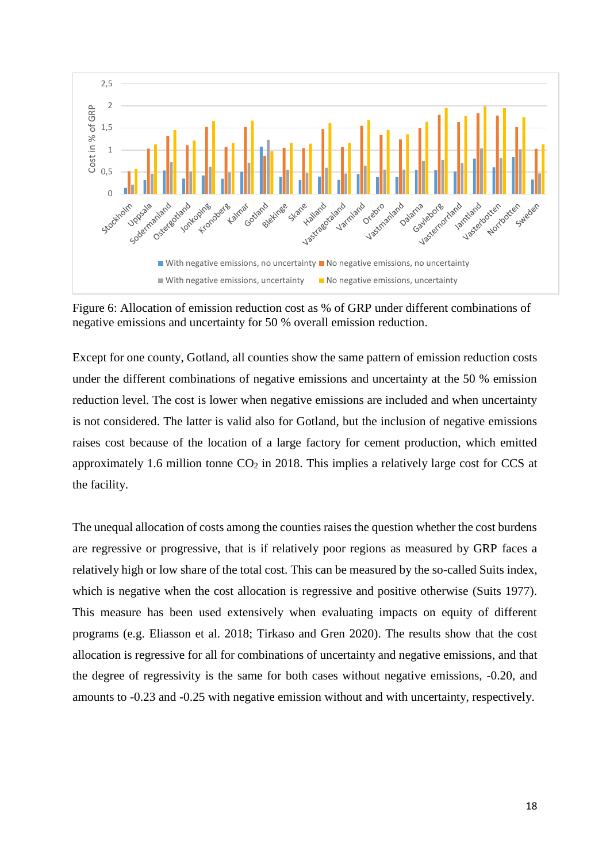

Figure 6: Allocation of emission reduction cost as % of GRP under different combinations of negative emissions and uncertainty for 50 % overall emission reduction.

Except for one county, Gotland, all counties show the same pattern of emission reduction costs under the different combinations of negative emissions and uncertainty at the 50 % emission reduction level. The cost is lower when negative emissions are included and when uncertainty is not considered. The latter is valid also for Gotland, but the inclusion of negative emissions raises cost because of the location of a large factory for cement production, which emitted approximately 1.6 million tonne  $CO<sub>2</sub>$  in 2018. This implies a relatively large cost for CCS at the facility.

The unequal allocation of costs among the counties raises the question whether the cost burdens are regressive or progressive, that is if relatively poor regions as measured by GRP faces a relatively high or low share of the total cost. This can be measured by the so-called Suits index, which is negative when the cost allocation is regressive and positive otherwise (Suits 1977). This measure has been used extensively when evaluating impacts on equity of different programs (e.g. Eliasson et al. 2018; Tirkaso and Gren 2020). The results show that the cost allocation is regressive for all for combinations of uncertainty and negative emissions, and that the degree of regressivity is the same for both cases without negative emissions, -0.20, and amounts to -0.23 and -0.25 with negative emission without and with uncertainty, respectively.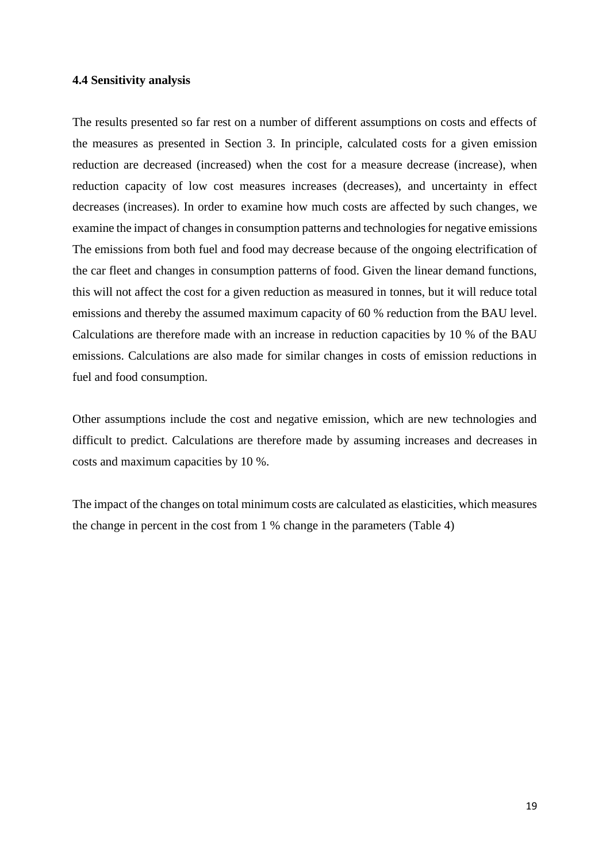#### **4.4 Sensitivity analysis**

The results presented so far rest on a number of different assumptions on costs and effects of the measures as presented in Section 3. In principle, calculated costs for a given emission reduction are decreased (increased) when the cost for a measure decrease (increase), when reduction capacity of low cost measures increases (decreases), and uncertainty in effect decreases (increases). In order to examine how much costs are affected by such changes, we examine the impact of changes in consumption patterns and technologies for negative emissions The emissions from both fuel and food may decrease because of the ongoing electrification of the car fleet and changes in consumption patterns of food. Given the linear demand functions, this will not affect the cost for a given reduction as measured in tonnes, but it will reduce total emissions and thereby the assumed maximum capacity of 60 % reduction from the BAU level. Calculations are therefore made with an increase in reduction capacities by 10 % of the BAU emissions. Calculations are also made for similar changes in costs of emission reductions in fuel and food consumption.

Other assumptions include the cost and negative emission, which are new technologies and difficult to predict. Calculations are therefore made by assuming increases and decreases in costs and maximum capacities by 10 %.

The impact of the changes on total minimum costs are calculated as elasticities, which measures the change in percent in the cost from 1 % change in the parameters (Table 4)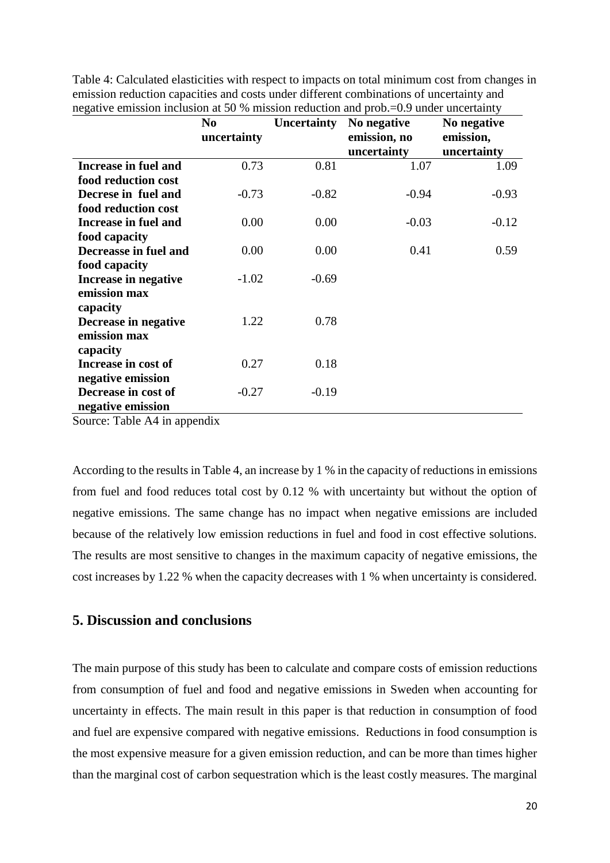|                       | N <sub>0</sub> | <b>Uncertainty</b> | No negative                 | No negative              |  |
|-----------------------|----------------|--------------------|-----------------------------|--------------------------|--|
|                       | uncertainty    |                    | emission, no<br>uncertainty | emission,<br>uncertainty |  |
|                       |                |                    |                             |                          |  |
| Increase in fuel and  | 0.73           | 0.81               | 1.07                        | 1.09                     |  |
| food reduction cost   |                |                    |                             |                          |  |
| Decrese in fuel and   | $-0.73$        | $-0.82$            | $-0.94$                     | $-0.93$                  |  |
| food reduction cost   |                |                    |                             |                          |  |
| Increase in fuel and  | 0.00           | 0.00               | $-0.03$                     | $-0.12$                  |  |
| food capacity         |                |                    |                             |                          |  |
| Decreasse in fuel and | 0.00           | 0.00               | 0.41                        | 0.59                     |  |
| food capacity         |                |                    |                             |                          |  |
| Increase in negative  | $-1.02$        | $-0.69$            |                             |                          |  |
| emission max          |                |                    |                             |                          |  |
| capacity              |                |                    |                             |                          |  |
| Decrease in negative  | 1.22           | 0.78               |                             |                          |  |
| emission max          |                |                    |                             |                          |  |
| capacity              |                |                    |                             |                          |  |
| Increase in cost of   | 0.27           | 0.18               |                             |                          |  |
| negative emission     |                |                    |                             |                          |  |
| Decrease in cost of   | $-0.27$        | $-0.19$            |                             |                          |  |
| negative emission     |                |                    |                             |                          |  |

Table 4: Calculated elasticities with respect to impacts on total minimum cost from changes in emission reduction capacities and costs under different combinations of uncertainty and negative emission inclusion at 50 % mission reduction and prob $-0.9$  under uncertainty

Source: Table A4 in appendix

According to the results in Table 4, an increase by 1 % in the capacity of reductions in emissions from fuel and food reduces total cost by 0.12 % with uncertainty but without the option of negative emissions. The same change has no impact when negative emissions are included because of the relatively low emission reductions in fuel and food in cost effective solutions. The results are most sensitive to changes in the maximum capacity of negative emissions, the cost increases by 1.22 % when the capacity decreases with 1 % when uncertainty is considered.

## **5. Discussion and conclusions**

The main purpose of this study has been to calculate and compare costs of emission reductions from consumption of fuel and food and negative emissions in Sweden when accounting for uncertainty in effects. The main result in this paper is that reduction in consumption of food and fuel are expensive compared with negative emissions. Reductions in food consumption is the most expensive measure for a given emission reduction, and can be more than times higher than the marginal cost of carbon sequestration which is the least costly measures. The marginal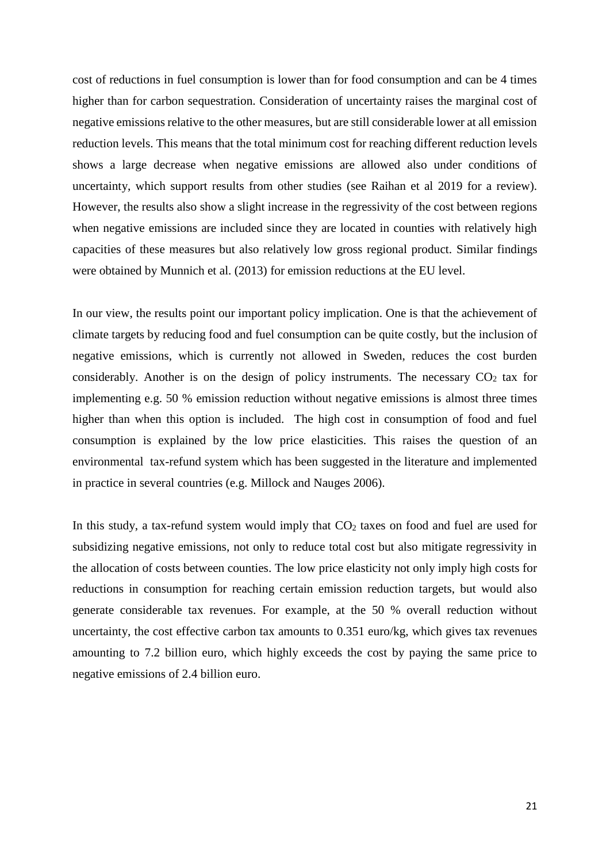cost of reductions in fuel consumption is lower than for food consumption and can be 4 times higher than for carbon sequestration. Consideration of uncertainty raises the marginal cost of negative emissions relative to the other measures, but are still considerable lower at all emission reduction levels. This means that the total minimum cost for reaching different reduction levels shows a large decrease when negative emissions are allowed also under conditions of uncertainty, which support results from other studies (see Raihan et al 2019 for a review). However, the results also show a slight increase in the regressivity of the cost between regions when negative emissions are included since they are located in counties with relatively high capacities of these measures but also relatively low gross regional product. Similar findings were obtained by Munnich et al. (2013) for emission reductions at the EU level.

In our view, the results point our important policy implication. One is that the achievement of climate targets by reducing food and fuel consumption can be quite costly, but the inclusion of negative emissions, which is currently not allowed in Sweden, reduces the cost burden considerably. Another is on the design of policy instruments. The necessary  $CO<sub>2</sub>$  tax for implementing e.g. 50 % emission reduction without negative emissions is almost three times higher than when this option is included. The high cost in consumption of food and fuel consumption is explained by the low price elasticities. This raises the question of an environmental tax-refund system which has been suggested in the literature and implemented in practice in several countries (e.g. Millock and Nauges 2006).

In this study, a tax-refund system would imply that  $CO<sub>2</sub>$  taxes on food and fuel are used for subsidizing negative emissions, not only to reduce total cost but also mitigate regressivity in the allocation of costs between counties. The low price elasticity not only imply high costs for reductions in consumption for reaching certain emission reduction targets, but would also generate considerable tax revenues. For example, at the 50 % overall reduction without uncertainty, the cost effective carbon tax amounts to 0.351 euro/kg, which gives tax revenues amounting to 7.2 billion euro, which highly exceeds the cost by paying the same price to negative emissions of 2.4 billion euro.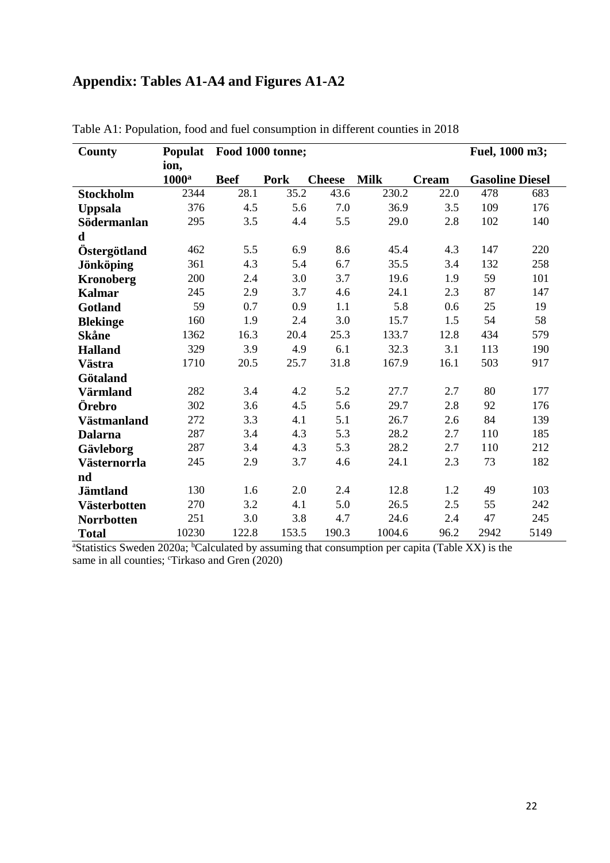## **Appendix: Tables A1-A4 and Figures A1-A2**

| County              | <b>Populat</b> | Food 1000 tonne; |       |               |             |              | Fuel, 1000 m3; |                        |
|---------------------|----------------|------------------|-------|---------------|-------------|--------------|----------------|------------------------|
|                     | ion,           |                  |       |               |             |              |                |                        |
|                     | $1000^a$       | <b>Beef</b>      | Pork  | <b>Cheese</b> | <b>Milk</b> | <b>Cream</b> |                | <b>Gasoline Diesel</b> |
| <b>Stockholm</b>    | 2344           | 28.1             | 35.2  | 43.6          | 230.2       | 22.0         | 478            | 683                    |
| <b>Uppsala</b>      | 376            | 4.5              | 5.6   | 7.0           | 36.9        | 3.5          | 109            | 176                    |
| Södermanlan         | 295            | 3.5              | 4.4   | 5.5           | 29.0        | 2.8          | 102            | 140                    |
| $\mathbf d$         |                |                  |       |               |             |              |                |                        |
| Östergötland        | 462            | 5.5              | 6.9   | 8.6           | 45.4        | 4.3          | 147            | 220                    |
| Jönköping           | 361            | 4.3              | 5.4   | 6.7           | 35.5        | 3.4          | 132            | 258                    |
| <b>Kronoberg</b>    | 200            | 2.4              | 3.0   | 3.7           | 19.6        | 1.9          | 59             | 101                    |
| <b>Kalmar</b>       | 245            | 2.9              | 3.7   | 4.6           | 24.1        | 2.3          | 87             | 147                    |
| Gotland             | 59             | 0.7              | 0.9   | 1.1           | 5.8         | 0.6          | 25             | 19                     |
| <b>Blekinge</b>     | 160            | 1.9              | 2.4   | 3.0           | 15.7        | 1.5          | 54             | 58                     |
| <b>Skåne</b>        | 1362           | 16.3             | 20.4  | 25.3          | 133.7       | 12.8         | 434            | 579                    |
| <b>Halland</b>      | 329            | 3.9              | 4.9   | 6.1           | 32.3        | 3.1          | 113            | 190                    |
| Västra              | 1710           | 20.5             | 25.7  | 31.8          | 167.9       | 16.1         | 503            | 917                    |
| Götaland            |                |                  |       |               |             |              |                |                        |
| Värmland            | 282            | 3.4              | 4.2   | 5.2           | 27.7        | 2.7          | 80             | 177                    |
| Örebro              | 302            | 3.6              | 4.5   | 5.6           | 29.7        | 2.8          | 92             | 176                    |
| Västmanland         | 272            | 3.3              | 4.1   | 5.1           | 26.7        | 2.6          | 84             | 139                    |
| <b>Dalarna</b>      | 287            | 3.4              | 4.3   | 5.3           | 28.2        | 2.7          | 110            | 185                    |
| Gävleborg           | 287            | 3.4              | 4.3   | 5.3           | 28.2        | 2.7          | 110            | 212                    |
| Västernorrla        | 245            | 2.9              | 3.7   | 4.6           | 24.1        | 2.3          | 73             | 182                    |
| nd                  |                |                  |       |               |             |              |                |                        |
| <b>Jämtland</b>     | 130            | 1.6              | 2.0   | 2.4           | 12.8        | 1.2          | 49             | 103                    |
| <b>Västerbotten</b> | 270            | 3.2              | 4.1   | 5.0           | 26.5        | 2.5          | 55             | 242                    |
| <b>Norrbotten</b>   | 251            | 3.0              | 3.8   | 4.7           | 24.6        | 2.4          | 47             | 245                    |
| <b>Total</b>        | 10230          | 122.8            | 153.5 | 190.3         | 1004.6      | 96.2         | 2942           | 5149                   |

Table A1: Population, food and fuel consumption in different counties in 2018

<sup>a</sup>Statistics Sweden 2020a; <sup>b</sup>Calculated by assuming that consumption per capita (Table XX) is the same in all counties; <sup>c</sup>Tirkaso and Gren (2020)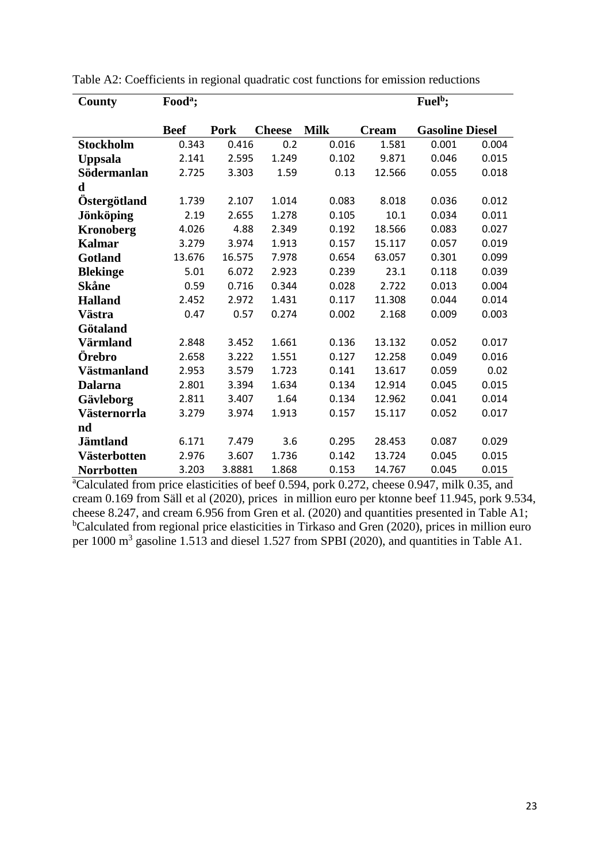| County            | Food <sup>a</sup> ; |             |               |             |              | Fuel <sup>b</sup> ;    |       |
|-------------------|---------------------|-------------|---------------|-------------|--------------|------------------------|-------|
|                   |                     |             |               |             |              |                        |       |
|                   | <b>Beef</b>         | <b>Pork</b> | <b>Cheese</b> | <b>Milk</b> | <b>Cream</b> | <b>Gasoline Diesel</b> |       |
| <b>Stockholm</b>  | 0.343               | 0.416       | 0.2           | 0.016       | 1.581        | 0.001                  | 0.004 |
| <b>Uppsala</b>    | 2.141               | 2.595       | 1.249         | 0.102       | 9.871        | 0.046                  | 0.015 |
| Södermanlan       | 2.725               | 3.303       | 1.59          | 0.13        | 12.566       | 0.055                  | 0.018 |
| d                 |                     |             |               |             |              |                        |       |
| Östergötland      | 1.739               | 2.107       | 1.014         | 0.083       | 8.018        | 0.036                  | 0.012 |
| <b>Jönköping</b>  | 2.19                | 2.655       | 1.278         | 0.105       | 10.1         | 0.034                  | 0.011 |
| <b>Kronoberg</b>  | 4.026               | 4.88        | 2.349         | 0.192       | 18.566       | 0.083                  | 0.027 |
| <b>Kalmar</b>     | 3.279               | 3.974       | 1.913         | 0.157       | 15.117       | 0.057                  | 0.019 |
| Gotland           | 13.676              | 16.575      | 7.978         | 0.654       | 63.057       | 0.301                  | 0.099 |
| <b>Blekinge</b>   | 5.01                | 6.072       | 2.923         | 0.239       | 23.1         | 0.118                  | 0.039 |
| Skåne             | 0.59                | 0.716       | 0.344         | 0.028       | 2.722        | 0.013                  | 0.004 |
| <b>Halland</b>    | 2.452               | 2.972       | 1.431         | 0.117       | 11.308       | 0.044                  | 0.014 |
| Västra            | 0.47                | 0.57        | 0.274         | 0.002       | 2.168        | 0.009                  | 0.003 |
| Götaland          |                     |             |               |             |              |                        |       |
| Värmland          | 2.848               | 3.452       | 1.661         | 0.136       | 13.132       | 0.052                  | 0.017 |
| Örebro            | 2.658               | 3.222       | 1.551         | 0.127       | 12.258       | 0.049                  | 0.016 |
| Västmanland       | 2.953               | 3.579       | 1.723         | 0.141       | 13.617       | 0.059                  | 0.02  |
| <b>Dalarna</b>    | 2.801               | 3.394       | 1.634         | 0.134       | 12.914       | 0.045                  | 0.015 |
| Gävleborg         | 2.811               | 3.407       | 1.64          | 0.134       | 12.962       | 0.041                  | 0.014 |
| Västernorrla      | 3.279               | 3.974       | 1.913         | 0.157       | 15.117       | 0.052                  | 0.017 |
| nd                |                     |             |               |             |              |                        |       |
| <b>Jämtland</b>   | 6.171               | 7.479       | 3.6           | 0.295       | 28.453       | 0.087                  | 0.029 |
| Västerbotten      | 2.976               | 3.607       | 1.736         | 0.142       | 13.724       | 0.045                  | 0.015 |
| <b>Norrbotten</b> | 3.203               | 3.8881      | 1.868         | 0.153       | 14.767       | 0.045                  | 0.015 |

Table A2: Coefficients in regional quadratic cost functions for emission reductions

<sup>a</sup>Calculated from price elasticities of beef 0.594, pork 0.272, cheese 0.947, milk 0.35, and cream 0.169 from Säll et al (2020), prices in million euro per ktonne beef 11.945, pork 9.534, cheese 8.247, and cream 6.956 from Gren et al. (2020) and quantities presented in Table A1;  $b$ Calculated from regional price elasticities in Tirkaso and Gren (2020), prices in million euro per 1000  $m<sup>3</sup>$  gasoline 1.513 and diesel 1.527 from SPBI (2020), and quantities in Table A1.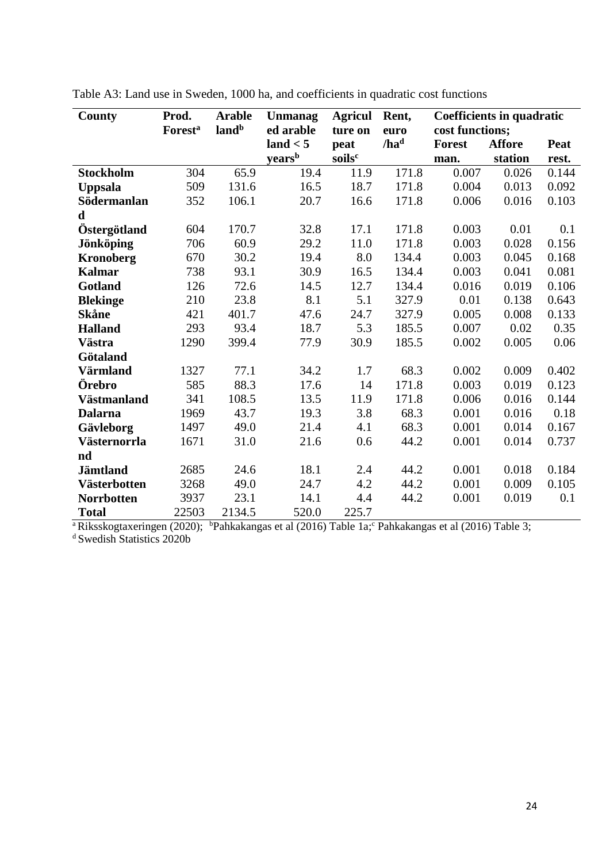| <b>County</b>       | Prod.<br><b>Forest<sup>a</sup></b> | <b>Arable</b><br>land <sup>b</sup> | Unmanag<br>ed arable | <b>Agricul</b><br>ture on | Rent,<br>euro    | Coefficients in quadratic<br>cost functions; |               |       |
|---------------------|------------------------------------|------------------------------------|----------------------|---------------------------|------------------|----------------------------------------------|---------------|-------|
|                     |                                    |                                    | land < 5             | peat                      | /ha <sup>d</sup> | <b>Forest</b>                                | <b>Affore</b> | Peat  |
|                     |                                    |                                    | yearsb               | soils <sup>c</sup>        |                  | man.                                         | station       | rest. |
| <b>Stockholm</b>    | 304                                | 65.9                               | 19.4                 | 11.9                      | 171.8            | 0.007                                        | 0.026         | 0.144 |
| <b>Uppsala</b>      | 509                                | 131.6                              | 16.5                 | 18.7                      | 171.8            | 0.004                                        | 0.013         | 0.092 |
| Södermanlan         | 352                                | 106.1                              | 20.7                 | 16.6                      | 171.8            | 0.006                                        | 0.016         | 0.103 |
| d                   |                                    |                                    |                      |                           |                  |                                              |               |       |
| Östergötland        | 604                                | 170.7                              | 32.8                 | 17.1                      | 171.8            | 0.003                                        | 0.01          | 0.1   |
| <b>Jönköping</b>    | 706                                | 60.9                               | 29.2                 | 11.0                      | 171.8            | 0.003                                        | 0.028         | 0.156 |
| <b>Kronoberg</b>    | 670                                | 30.2                               | 19.4                 | 8.0                       | 134.4            | 0.003                                        | 0.045         | 0.168 |
| <b>Kalmar</b>       | 738                                | 93.1                               | 30.9                 | 16.5                      | 134.4            | 0.003                                        | 0.041         | 0.081 |
| Gotland             | 126                                | 72.6                               | 14.5                 | 12.7                      | 134.4            | 0.016                                        | 0.019         | 0.106 |
| <b>Blekinge</b>     | 210                                | 23.8                               | 8.1                  | 5.1                       | 327.9            | 0.01                                         | 0.138         | 0.643 |
| Skåne               | 421                                | 401.7                              | 47.6                 | 24.7                      | 327.9            | 0.005                                        | 0.008         | 0.133 |
| <b>Halland</b>      | 293                                | 93.4                               | 18.7                 | 5.3                       | 185.5            | 0.007                                        | 0.02          | 0.35  |
| Västra              | 1290                               | 399.4                              | 77.9                 | 30.9                      | 185.5            | 0.002                                        | 0.005         | 0.06  |
| Götaland            |                                    |                                    |                      |                           |                  |                                              |               |       |
| <b>Värmland</b>     | 1327                               | 77.1                               | 34.2                 | 1.7                       | 68.3             | 0.002                                        | 0.009         | 0.402 |
| Örebro              | 585                                | 88.3                               | 17.6                 | 14                        | 171.8            | 0.003                                        | 0.019         | 0.123 |
| <b>Västmanland</b>  | 341                                | 108.5                              | 13.5                 | 11.9                      | 171.8            | 0.006                                        | 0.016         | 0.144 |
| <b>Dalarna</b>      | 1969                               | 43.7                               | 19.3                 | 3.8                       | 68.3             | 0.001                                        | 0.016         | 0.18  |
| Gävleborg           | 1497                               | 49.0                               | 21.4                 | 4.1                       | 68.3             | 0.001                                        | 0.014         | 0.167 |
| Västernorrla        | 1671                               | 31.0                               | 21.6                 | 0.6                       | 44.2             | 0.001                                        | 0.014         | 0.737 |
| nd                  |                                    |                                    |                      |                           |                  |                                              |               |       |
| <b>Jämtland</b>     | 2685                               | 24.6                               | 18.1                 | 2.4                       | 44.2             | 0.001                                        | 0.018         | 0.184 |
| <b>Västerbotten</b> | 3268                               | 49.0                               | 24.7                 | 4.2                       | 44.2             | 0.001                                        | 0.009         | 0.105 |
| <b>Norrbotten</b>   | 3937                               | 23.1                               | 14.1                 | 4.4                       | 44.2             | 0.001                                        | 0.019         | 0.1   |
| <b>Total</b>        | 22503                              | 2134.5                             | 520.0                | 225.7                     |                  |                                              |               |       |

Table A3: Land use in Sweden, 1000 ha, and coefficients in quadratic cost functions

<sup>a</sup>Riksskogtaxeringen (2020); <sup>b</sup>Pahkakangas et al (2016) Table 1a;<sup>c</sup> Pahkakangas et al (2016) Table 3; d Swedish Statistics 2020b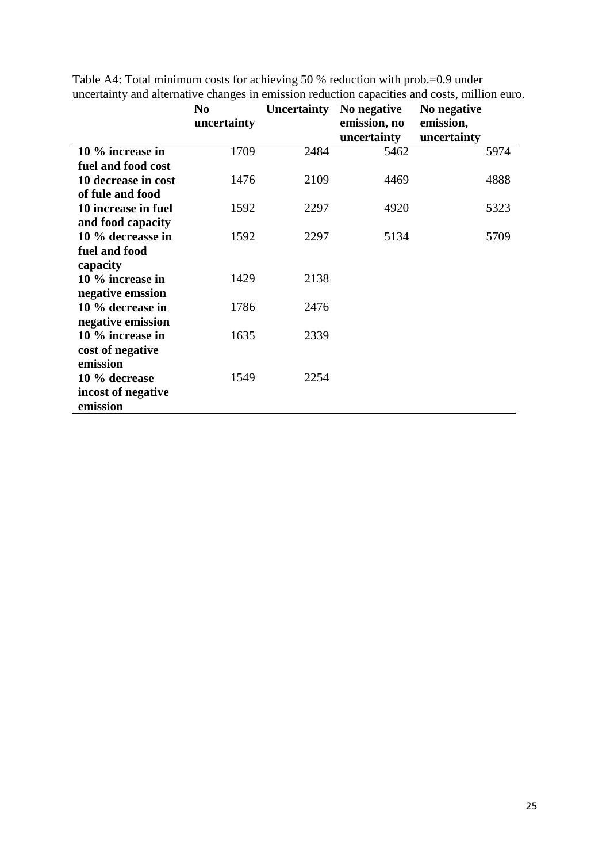|                                | N <sub>0</sub><br>uncertainty |      | Uncertainty No negative<br>emission, no<br>uncertainty | No negative<br>emission,<br>uncertainty |
|--------------------------------|-------------------------------|------|--------------------------------------------------------|-----------------------------------------|
| 10 % increase in               | 1709                          | 2484 | 5462                                                   | 5974                                    |
| fuel and food cost             |                               |      |                                                        |                                         |
| 10 decrease in cost            | 1476                          | 2109 | 4469                                                   | 4888                                    |
| of fule and food               |                               |      |                                                        |                                         |
| 10 increase in fuel            | 1592                          | 2297 | 4920                                                   | 5323                                    |
| and food capacity              |                               |      |                                                        |                                         |
| 10 % decreasse in              | 1592                          | 2297 | 5134                                                   | 5709                                    |
| fuel and food                  |                               |      |                                                        |                                         |
| capacity                       |                               |      |                                                        |                                         |
| 10 % increase in               | 1429                          | 2138 |                                                        |                                         |
| negative emssion               |                               |      |                                                        |                                         |
| 10 % decrease in               | 1786                          | 2476 |                                                        |                                         |
| negative emission              |                               |      |                                                        |                                         |
| 10 % increase in               | 1635                          | 2339 |                                                        |                                         |
| cost of negative               |                               |      |                                                        |                                         |
| emission                       |                               |      |                                                        |                                         |
| 10 % decrease                  | 1549                          | 2254 |                                                        |                                         |
| incost of negative<br>emission |                               |      |                                                        |                                         |

Table A4: Total minimum costs for achieving 50 % reduction with prob.=0.9 under uncertainty and alternative changes in emission reduction capacities and costs, million euro.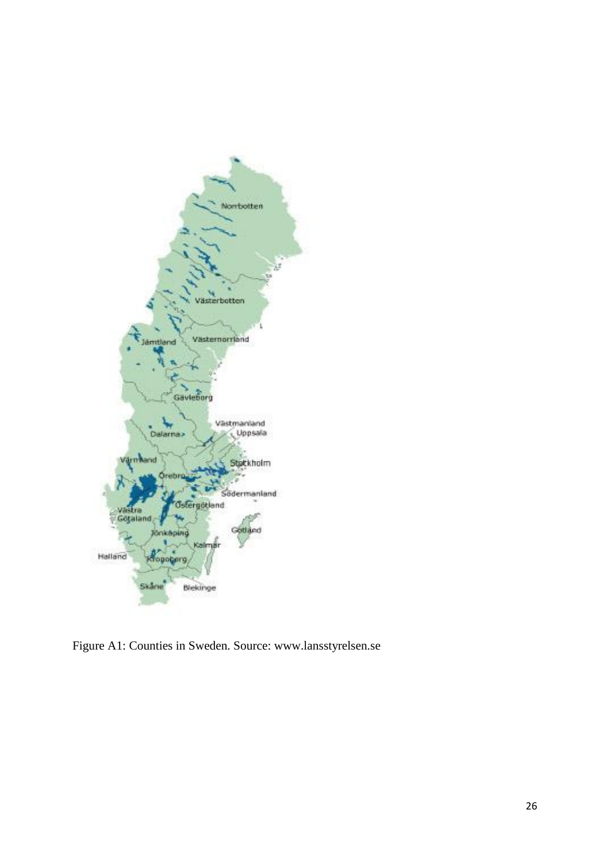

Figure A1: Counties in Sweden. Source: www.lansstyrelsen.se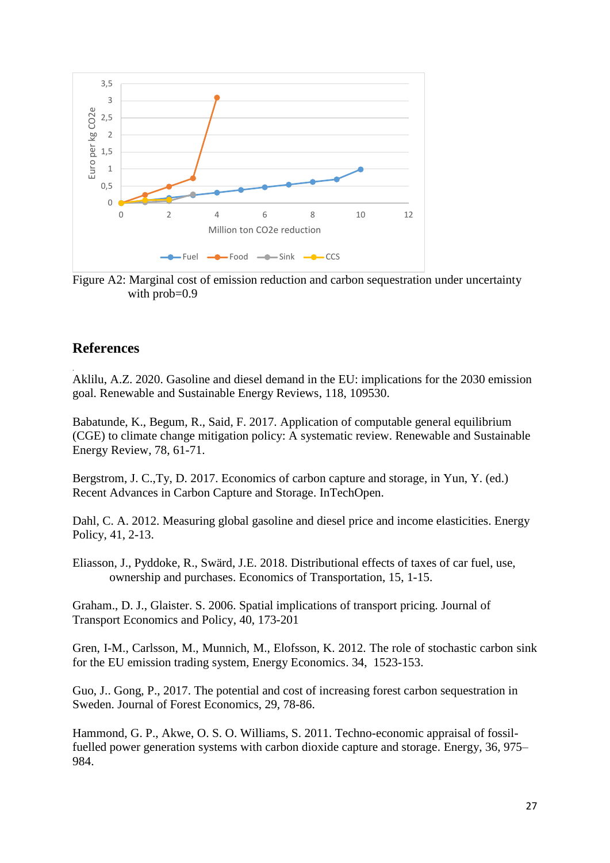

Figure A2: Marginal cost of emission reduction and carbon sequestration under uncertainty with prob=0.9

## **References**

.

Aklilu, A.Z. 2020. Gasoline and diesel demand in the EU: implications for the 2030 emission goal. Renewable and Sustainable Energy Reviews, 118, 109530.

Babatunde, K., Begum, R., Said, F. 2017. Application of computable general equilibrium (CGE) to climate change mitigation policy: A systematic review. Renewable and Sustainable Energy Review, 78, 61-71.

Bergstrom, J. C.,Ty, D. 2017. Economics of carbon capture and storage, in Yun, Y. (ed.) Recent Advances in Carbon Capture and Storage. InTechOpen.

Dahl, C. A. 2012. Measuring global gasoline and diesel price and income elasticities. Energy Policy, 41, 2-13.

Eliasson, J., Pyddoke, R., Swärd, J.E. 2018. Distributional effects of taxes of car fuel, use, ownership and purchases. Economics of Transportation, 15, 1-15.

Graham., D. J., Glaister. S. 2006. Spatial implications of transport pricing. Journal of Transport Economics and Policy, 40, 173-201

Gren, I-M., Carlsson, M., Munnich, M., Elofsson, K. 2012. The role of stochastic carbon sink for the EU emission trading system, Energy Economics. 34, 1523-153.

Guo, J.. Gong, P., 2017. The potential and cost of increasing forest carbon sequestration in Sweden. Journal of Forest Economics, 29, 78-86.

Hammond, G. P., Akwe, O. S. O. Williams, S. 2011. Techno-economic appraisal of fossilfuelled power generation systems with carbon dioxide capture and storage. Energy, 36, 975– 984.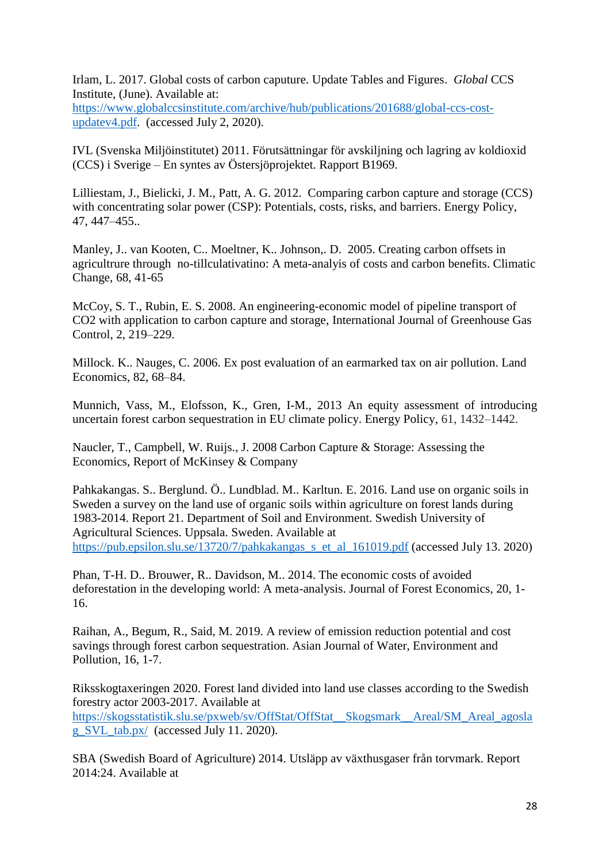Irlam, L. 2017. Global costs of carbon caputure. Update Tables and Figures. *Global* CCS Institute, (June). Available at:

[https://www.globalccsinstitute.com/archive/hub/publications/201688/global-ccs-cost](https://www.globalccsinstitute.com/archive/hub/publications/201688/global-ccs-cost-updatev4.pdf)[updatev4.pdf.](https://www.globalccsinstitute.com/archive/hub/publications/201688/global-ccs-cost-updatev4.pdf) (accessed July 2, 2020).

IVL (Svenska Miljöinstitutet) 2011. Förutsättningar för avskiljning och lagring av koldioxid (CCS) i Sverige – En syntes av Östersjöprojektet. Rapport B1969.

Lilliestam, J., Bielicki, J. M., Patt, A. G. 2012. Comparing carbon capture and storage (CCS) with concentrating solar power (CSP): Potentials, costs, risks, and barriers. Energy Policy, 47, 447–455..

Manley, J.. van Kooten, C.. Moeltner, K.. Johnson,. D. 2005. Creating carbon offsets in agricultrure through no-tillculativatino: A meta-analyis of costs and carbon benefits. Climatic Change, 68, 41-65

McCoy, S. T., Rubin, E. S. 2008. An engineering-economic model of pipeline transport of CO2 with application to carbon capture and storage, International Journal of Greenhouse Gas Control, 2, 219–229.

Millock. K.. Nauges, C. 2006. Ex post evaluation of an earmarked tax on air pollution. Land Economics, 82, 68–84.

Munnich, Vass, M., Elofsson, K., Gren, I-M., 2013 An equity assessment of introducing uncertain forest carbon sequestration in EU climate policy. Energy Policy, 61, 1432–1442.

Naucler, T., Campbell, W. Ruijs., J. 2008 Carbon Capture & Storage: Assessing the Economics, Report of McKinsey & Company

Pahkakangas. S.. Berglund. Ö.. Lundblad. M.. Karltun. E. 2016. Land use on organic soils in Sweden a survey on the land use of organic soils within agriculture on forest lands during 1983-2014. Report 21. Department of Soil and Environment. Swedish University of Agricultural Sciences. Uppsala. Sweden. Available at [https://pub.epsilon.slu.se/13720/7/pahkakangas\\_s\\_et\\_al\\_161019.pdf](https://pub.epsilon.slu.se/13720/7/pahkakangas_s_et_al_161019.pdf) (accessed July 13. 2020)

Phan, T-H. D.. Brouwer, R.. Davidson, M.. 2014. The economic costs of avoided deforestation in the developing world: A meta-analysis. Journal of Forest Economics, 20, 1- 16.

Raihan, A., Begum, R., Said, M. 2019. A review of emission reduction potential and cost savings through forest carbon sequestration. Asian Journal of Water, Environment and Pollution, 16, 1-7.

Riksskogtaxeringen 2020. Forest land divided into land use classes according to the Swedish forestry actor 2003-2017. Available at [https://skogsstatistik.slu.se/pxweb/sv/OffStat/OffStat\\_\\_Skogsmark\\_\\_Areal/SM\\_Areal\\_agosla](https://skogsstatistik.slu.se/pxweb/sv/OffStat/OffStat__Skogsmark__Areal/SM_Areal_agoslag_SVL_tab.px/) [g\\_SVL\\_tab.px/](https://skogsstatistik.slu.se/pxweb/sv/OffStat/OffStat__Skogsmark__Areal/SM_Areal_agoslag_SVL_tab.px/) (accessed July 11. 2020).

SBA (Swedish Board of Agriculture) 2014. Utsläpp av växthusgaser från torvmark. Report 2014:24. Available at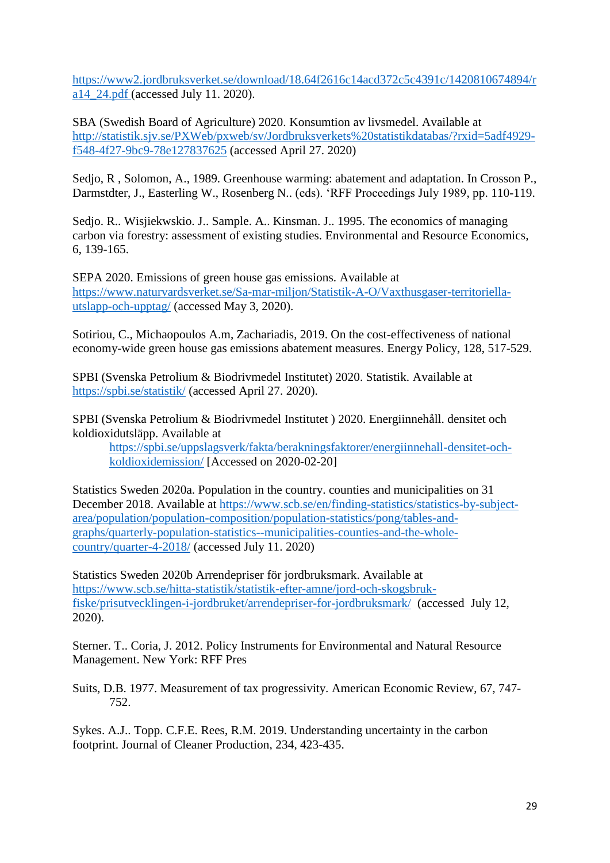[https://www2.jordbruksverket.se/download/18.64f2616c14acd372c5c4391c/1420810674894/r](https://www2.jordbruksverket.se/download/18.64f2616c14acd372c5c4391c/1420810674894/ra14_24.pdf) [a14\\_24.pdf](https://www2.jordbruksverket.se/download/18.64f2616c14acd372c5c4391c/1420810674894/ra14_24.pdf) (accessed July 11. 2020).

SBA (Swedish Board of Agriculture) 2020. Konsumtion av livsmedel. Available at [http://statistik.sjv.se/PXWeb/pxweb/sv/Jordbruksverkets%20statistikdatabas/?rxid=5adf4929](http://statistik.sjv.se/PXWeb/pxweb/sv/Jordbruksverkets%20statistikdatabas/?rxid=5adf4929-f548-4f27-9bc9-78e127837625) [f548-4f27-9bc9-78e127837625](http://statistik.sjv.se/PXWeb/pxweb/sv/Jordbruksverkets%20statistikdatabas/?rxid=5adf4929-f548-4f27-9bc9-78e127837625) (accessed April 27. 2020)

Sedjo, R , Solomon, A., 1989. Greenhouse warming: abatement and adaptation. In Crosson P., Darmstdter, J., Easterling W., Rosenberg N.. (eds). 'RFF Proceedings July 1989, pp. 110-119.

Sedjo. R.. Wisjiekwskio. J.. Sample. A.. Kinsman. J.. 1995. The economics of managing carbon via forestry: assessment of existing studies. Environmental and Resource Economics, 6, 139-165.

SEPA 2020. Emissions of green house gas emissions. Available at [https://www.naturvardsverket.se/Sa-mar-miljon/Statistik-A-O/Vaxthusgaser-territoriella](https://www.naturvardsverket.se/Sa-mar-miljon/Statistik-A-O/Vaxthusgaser-territoriella-utslapp-och-upptag/)[utslapp-och-upptag/](https://www.naturvardsverket.se/Sa-mar-miljon/Statistik-A-O/Vaxthusgaser-territoriella-utslapp-och-upptag/) (accessed May 3, 2020).

Sotiriou, C., Michaopoulos A.m, Zachariadis, 2019. On the cost-effectiveness of national economy-wide green house gas emissions abatement measures. Energy Policy, 128, 517-529.

SPBI (Svenska Petrolium & Biodrivmedel Institutet) 2020. Statistik. Available at <https://spbi.se/statistik/> (accessed April 27. 2020).

SPBI (Svenska Petrolium & Biodrivmedel Institutet ) 2020. Energiinnehåll. densitet och koldioxidutsläpp. Available at

[https://spbi.se/uppslagsverk/fakta/berakningsfaktorer/energiinnehall-densitet-och](https://spbi.se/uppslagsverk/fakta/berakningsfaktorer/energiinnehall-densitet-och-koldioxidemission/)[koldioxidemission/](https://spbi.se/uppslagsverk/fakta/berakningsfaktorer/energiinnehall-densitet-och-koldioxidemission/) [Accessed on 2020-02-20]

Statistics Sweden 2020a. Population in the country. counties and municipalities on 31 December 2018. Available at [https://www.scb.se/en/finding-statistics/statistics-by-subject](https://www.scb.se/en/finding-statistics/statistics-by-subject-area/population/population-composition/population-statistics/pong/tables-and-graphs/quarterly-population-statistics--municipalities-counties-and-the-whole-country/quarter-4-2018/)[area/population/population-composition/population-statistics/pong/tables-and](https://www.scb.se/en/finding-statistics/statistics-by-subject-area/population/population-composition/population-statistics/pong/tables-and-graphs/quarterly-population-statistics--municipalities-counties-and-the-whole-country/quarter-4-2018/)[graphs/quarterly-population-statistics--municipalities-counties-and-the-whole](https://www.scb.se/en/finding-statistics/statistics-by-subject-area/population/population-composition/population-statistics/pong/tables-and-graphs/quarterly-population-statistics--municipalities-counties-and-the-whole-country/quarter-4-2018/)[country/quarter-4-2018/](https://www.scb.se/en/finding-statistics/statistics-by-subject-area/population/population-composition/population-statistics/pong/tables-and-graphs/quarterly-population-statistics--municipalities-counties-and-the-whole-country/quarter-4-2018/) (accessed July 11. 2020)

Statistics Sweden 2020b Arrendepriser för jordbruksmark. Available at [https://www.scb.se/hitta-statistik/statistik-efter-amne/jord-och-skogsbruk](https://www.scb.se/hitta-statistik/statistik-efter-amne/jord-och-skogsbruk-fiske/prisutvecklingen-i-jordbruket/arrendepriser-for-jordbruksmark/)[fiske/prisutvecklingen-i-jordbruket/arrendepriser-for-jordbruksmark/](https://www.scb.se/hitta-statistik/statistik-efter-amne/jord-och-skogsbruk-fiske/prisutvecklingen-i-jordbruket/arrendepriser-for-jordbruksmark/) (accessed July 12, 2020).

Sterner. T.. Coria, J. 2012. Policy Instruments for Environmental and Natural Resource Management. New York: RFF Pres

Suits, D.B. 1977. Measurement of tax progressivity. American Economic Review, 67, 747- 752.

Sykes. A.J.. Topp. C.F.E. Rees, R.M. 2019. Understanding uncertainty in the carbon footprint. Journal of Cleaner Production, 234, 423-435.